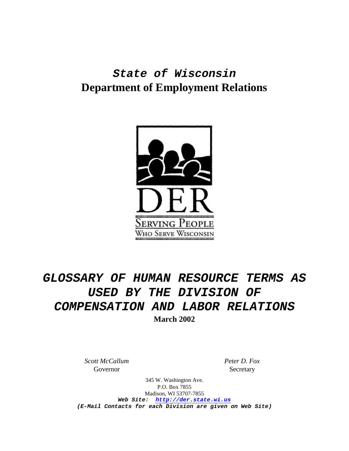## *State of Wisconsin* **Department of Employment Relations**



# *GLOSSARY OF HUMAN RESOURCE TERMS AS USED BY THE DIVISION OF COMPENSATION AND LABOR RELATIONS* **March 2002**

*Scott McCallum* Governor

*Peter D. Fox* Secretary

345 W. Washington Ave. P.O. Box 7855 Madison, WI 53707-7855 *Web Site: http://der.state.wi.us (E-Mail Contacts for each Division are given on Web Site)*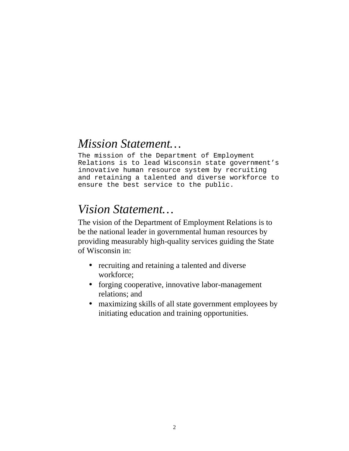### *Mission Statement…*

The mission of the Department of Employment Relations is to lead Wisconsin state government's innovative human resource system by recruiting and retaining a talented and diverse workforce to ensure the best service to the public.

## *Vision Statement…*

The vision of the Department of Employment Relations is to be the national leader in governmental human resources by providing measurably high-quality services guiding the State of Wisconsin in:

- recruiting and retaining a talented and diverse workforce;
- forging cooperative, innovative labor-management relations; and
- maximizing skills of all state government employees by initiating education and training opportunities.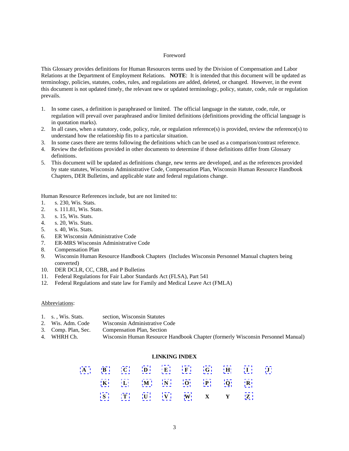#### Foreword

This Glossary provides definitions for Human Resources terms used by the Division of Compensation and Labor Relations at the Department of Employment Relations. **NOTE**: It is intended that this document will be updated as terminology, policies, statutes, codes, rules, and regulations are added, deleted, or changed. However, in the event this document is not updated timely, the relevant new or updated terminology, policy, statute, code, rule or regulation prevails.

- 1. In some cases, a definition is paraphrased or limited. The official language in the statute, code, rule, or regulation will prevail over paraphrased and/or limited definitions (definitions providing the official language is in quotation marks).
- 2. In all cases, when a statutory, code, policy, rule, or regulation reference(s) is provided, review the reference(s) to understand how the relationship fits to a particular situation.
- 3. In some cases there are terms following the definitions which can be used as a comparison/contrast reference.
- 4. Review the definitions provided in other documents to determine if those definitions differ from Glossary definitions.
- 5. This document will be updated as definitions change, new terms are developed, and as the references provided by state statutes, Wisconsin Administrative Code, Compensation Plan, Wisconsin Human Resource Handbook Chapters, DER Bulletins, and applicable state and federal regulations change.

Human Resource References include, but are not limited to:

- 1. s. 230, Wis. Stats.
- 2. s. 111.81, Wis. Stats.
- 3. s. 15, Wis. Stats.
- 4. s. 20, Wis. Stats.
- 5. s. 40, Wis. Stats.
- 6. ER Wisconsin Administrative Code
- 7. ER-MRS Wisconsin Administrative Code
- 8. Compensation Plan
- 9. Wisconsin Human Resource Handbook Chapters (Includes Wisconsin Personnel Manual chapters being converted)
- 10. DER DCLR, CC, CBB, and P Bulletins
- 11. Federal Regulations for Fair Labor Standards Act (FLSA), Part 541
- 12. Federal Regulations and state law for Family and Medical Leave Act (FMLA)

#### Abbreviations:

| 1. s., Wis. Stats.<br>section, Wisconsin Statutes |  |
|---------------------------------------------------|--|
|---------------------------------------------------|--|

- 2. Wis. Adm. Code Wisconsin Administrative Code
- 3. Comp. Plan, Sec. Compensation Plan, Section
- 4. WHRH Ch. Wisconsin Human Resource Handbook Chapter (formerly Wisconsin Personnel Manual)

### **LINKING INDEX**

|  |  | A B C D E F G H I J             |  |  |
|--|--|---------------------------------|--|--|
|  |  | $K$ $L$ $M$ $N$ $O$ $P$ $Q$ $R$ |  |  |
|  |  | S T U V W X Y Z                 |  |  |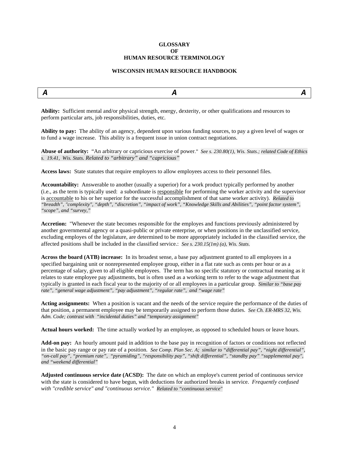#### **GLOSSARY OF HUMAN RESOURCE TERMINOLOGY**

#### **WISCONSIN HUMAN RESOURCE HANDBOOK**

<span id="page-3-0"></span>

| <b>Contractor</b><br>-- | $\frac{1}{2} \left( \frac{1}{2} \right) \left( \frac{1}{2} \right) \left( \frac{1}{2} \right) \left( \frac{1}{2} \right) \left( \frac{1}{2} \right) \left( \frac{1}{2} \right) \left( \frac{1}{2} \right) \left( \frac{1}{2} \right) \left( \frac{1}{2} \right) \left( \frac{1}{2} \right) \left( \frac{1}{2} \right) \left( \frac{1}{2} \right) \left( \frac{1}{2} \right) \left( \frac{1}{2} \right) \left( \frac{1}{2} \right) \left( \frac{1}{2} \right) \left( \frac$<br>-- |  |
|-------------------------|----------------------------------------------------------------------------------------------------------------------------------------------------------------------------------------------------------------------------------------------------------------------------------------------------------------------------------------------------------------------------------------------------------------------------------------------------------------------------------|--|
|                         |                                                                                                                                                                                                                                                                                                                                                                                                                                                                                  |  |

**Ability:** Sufficient mental and/or physical strength, energy, dexterity, or other qualifications and resources to perform particular arts, job responsibilities, duties, etc.

**Ability to pay:** The ability of an agency, dependent upon various funding sources, to pay a given level of wages or to fund a wage increase. This ability is a frequent issue in union contract negotiations.

**Abuse of authority:** "An arbitrary or capricious exercise of power." *See s. 230.80(1), Wis. Stats.; related Code of Ethics s. 19.41, Wis. Stats. Related to "arbitrary" and "capricious"*

**Access laws:** State statutes that require employers to allow employees access to their personnel files.

**Accountability:** Answerable to another (usually a superior) for a work product typically performed by another (i.e., as the term is typically used: a subordinate is responsible for performing the worker activity and the supervisor is accountable to his or her superior for the successful accomplishment of that same worker activity). *Related to "breadth", "complexity", "depth", "discretion", "impact of work", "Knowledge Skills and Abilities", "point factor system", "scope", and "survey,"*

**Accretion:** "Whenever the state becomes responsible for the employes and functions previously administered by another governmental agency or a quasi-public or private enterprise, or when positions in the unclassified service, excluding employes of the legislature, are determined to be more appropriately included in the classified service, the affected positions shall be included in the classified service.: *See s. 230.15(1m) (a), Wis. Stats*.

**Across the board (ATB) increase:** In its broadest sense, a base pay adjustment granted to all employees in a specified bargaining unit or nonrepresented employee group, either in a flat rate such as cents per hour or as a percentage of salary, given to all eligible employees. The term has no specific statutory or contractual meaning as it relates to state employee pay adjustments, but is often used as a working term to refer to the wage adjustment that typically is granted in each fiscal year to the majority of or all employees in a particular group. *Similar to "base pay rate", "general wage adjustment", "pay adjustment", "regular rate", and "wage rate"*

**Acting assignments:** When a position is vacant and the needs of the service require the performance of the duties of that position, a permanent employee may be temporarily assigned to perform those duties. *See Ch. ER-MRS 32, Wis. Adm. Code; contrast with "incidental duties" and "temporary assignment"*

Actual hours worked: The time actually worked by an employee, as opposed to scheduled hours or leave hours.

**Add-on pay:** An hourly amount paid in addition to the base pay in recognition of factors or conditions not reflected in the basic pay range or pay rate of a position. *See Comp. Plan Sec. A; similar to "differential pay", "night differential", "on-call pay", "premium rate", "pyramiding", "responsibility pay", "shift differential", "standby pay" "supplemental pay", and "weekend differential"*

**Adjusted continuous service date (ACSD):** The date on which an employe's current period of continuous service with the state is considered to have begun, with deductions for authorized breaks in service. *Frequently confused with "credible service" and "continuous service." Related to "continuous service"*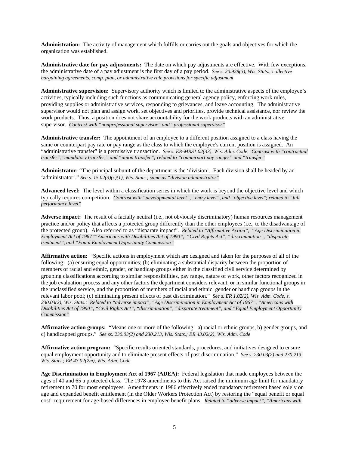**Administration:** The activity of management which fulfills or carries out the goals and objectives for which the organization was established.

**Administrative date for pay adjustments:** The date on which pay adjustments are effective. With few exceptions, the administrative date of a pay adjustment is the first day of a pay period. *See s. 20.928(3), Wis. Stats.; collective bargaining agreements, comp. plan, or administrative rule provisions for specific adjustment*

**Administrative supervision:** Supervisory authority which is limited to the administrative aspects of the employee's activities, typically including such functions as communicating general agency policy, enforcing work rules, providing supplies or administrative services, responding to grievances, and leave accounting. The administrative supervisor would not plan and assign work, set objectives and priorities, provide technical assistance, nor review the work products. Thus, a position does not share accountability for the work products with an administrative supervisor. *Contrast with "nonprofessional supervisor" and "professional supervisor"*

**Administrative transfer:** The appointment of an employee to a different position assigned to a class having the same or counterpart pay rate or pay range as the class to which the employee's current position is assigned. An "administrative transfer" is a permissive transaction. *See s. ER-MRS1.02(33), Wis. Adm. Code; Contrast with "contractual transfer", "mandatory transfer," and "union transfer"; related to "counterpart pay ranges" and "transfer"*

**Administrator:** "The principal subunit of the department is the 'division'. Each division shall be headed by an 'administrator'." *See s. 15.02(3)(c)(1), Wis. Stats.; same as "division administrator"*

**Advanced level:** The level within a classification series in which the work is beyond the objective level and which typically requires competition. *Contrast with "developmental level", "entry level", and "objective level"; related to "full performance level"*

**Adverse impact:** The result of a facially neutral (i.e., not obviously discriminatory) human resources management practice and/or policy that affects a protected group differently than the other employees (i.e., to the disadvantage of the protected group). Also referred to as "disparate impact". *Related to "Affirmative Action", "Age Discrimination in Employment Act of 1967""Americans with Disabilities Act of 1990", "Civil Rights Act", "discrimination", "disparate treatment", and "Equal Employment Opportunity Commission"*

**Affirmative action:** "Specific actions in employment which are designed and taken for the purposes of all of the following: (a) ensuring equal opportunities; (b) eliminating a substantial disparity between the proportion of members of racial and ethnic, gender, or handicap groups either in the classified civil service determined by grouping classifications according to similar responsibilities, pay range, nature of work, other factors recognized in the job evaluation process and any other factors the department considers relevant, or in similar functional groups in the unclassified service, and the proportion of members of racial and ethnic, gender or handicap groups in the relevant labor pool; (c) eliminating present effects of past discrimination." *See s. ER 1.02(2), Wis. Adm. Code, s. 230.03(2), Wis. Stats.; Related to "adverse impact", "Age Discrimination in Employment Act of 1967", "Americans with Disabilities Act of 1990", "Civil Rights Act", "discrimination", "disparate treatment", and "Equal Employment Opportunity Commission"*

**Affirmative action groups:** "Means one or more of the following: a) racial or ethnic groups, b) gender groups, and c) handicapped groups." *See ss. 230.03(2) and 230.213, Wis. Stats.; ER 43.02(2), Wis. Adm. Code*

**Affirmative action program:** "Specific results oriented standards, procedures, and initiatives designed to ensure equal employment opportunity and to eliminate present effects of past discrimination." *See s. 230.03(2) and 230.213, Wis. Stats.; ER 43.02(2m), Wis. Adm. Code*

**Age Discrimination in Employment Act of 1967 (ADEA):** Federal legislation that made employees between the ages of 40 and 65 a protected class. The 1978 amendments to this Act raised the minimum age limit for mandatory retirement to 70 for most employees. Amendments in 1986 effectively ended mandatory retirement based solely on age and expanded benefit entitlement (in the Older Workers Protection Act) by restoring the "equal benefit or equal cost" requirement for age-based differences in employee benefit plans. *Related to "adverse impact", "Americans with*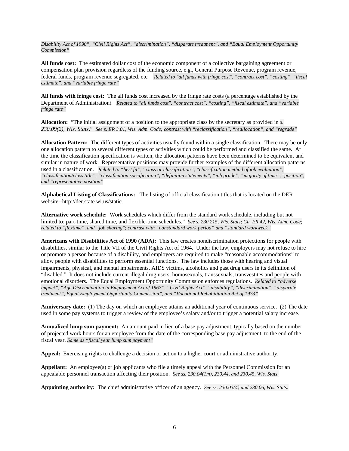*Disability Act of 1990", "Civil Rights Act", "discrimination", "disparate treatment", and "Equal Employment Opportunity Commission"*

**All funds cost:** The estimated dollar cost of the economic component of a collective bargaining agreement or compensation plan provision regardless of the funding source, e.g., General Purpose Revenue, program revenue, federal funds, program revenue segregated, etc*. Related to "all funds with fringe cost", "contract cost", "costing", "fiscal estimate", and "variable fringe rate"*

**All funds with fringe cost:** The all funds cost increased by the fringe rate costs (a percentage established by the Department of Administration). *Related to "all funds cost", "contract cost", "costing", "fiscal estimate", and "variable fringe rate"*

**Allocation:** "The initial assignment of a position to the appropriate class by the secretary as provided in *s. 230.09(2), Wis. Stats*." *See s. ER 3.01, Wis. Adm. Code; contrast with "reclassification", "reallocation", and "regrade"*

**Allocation Pattern:** The different types of activities usually found within a single classification. There may be only one allocation pattern to several different types of activities which could be performed and classified the same. At the time the classification specification is written, the allocation patterns have been determined to be equivalent and similar in nature of work. Representative positions may provide further examples of the different allocation patterns used in a classification. *Related to "best fit", "class or classification", "classification method of job evaluation", "classification/class title", "classification specification", "definition statements", "job grade", "majority of time", "position", and "representative position"*

**Alphabetical Listing of Classifications:** The listing of official classification titles that is located on the DER website--http://der.state.wi.us/static.

**Alternative work schedule:** Work schedules which differ from the standard work schedule, including but not limited to: part-time, shared time, and flexible-time schedules." *See s. 230.215, Wis. Stats; Ch. ER 42, Wis. Adm. Code; related to "flextime", and "job sharing"; contrast with "nonstandard work period" and "standard workweek"*

**Americans with Disabilities Act of 1990 (ADA):** This law creates nondiscrimination protections for people with disabilities, similar to the Title VII of the Civil Rights Act of 1964. Under the law, employers may not refuse to hire or promote a person because of a disability, and employers are required to make "reasonable accommodations" to allow people with disabilities to perform essential functions. The law includes those with hearing and visual impairments, physical, and mental impairments, AIDS victims, alcoholics and past drug users in its definition of "disabled." It does not include current illegal drug users, homosexuals, transsexuals, transvestites and people with emotional disorders. The Equal Employment Opportunity Commission enforces regulations. *Related to "adverse impact", "Age Discrimination in Employment Act of 1967", "Civil Rights Act", "disability", "discrimination", "disparate treatment", Equal Employment Opportunity Commission", and "Vocational Rehabilitation Act of 1973"*

**Anniversary date:** (1) The day on which an employee attains an additional year of continuous service. (2) The date used in some pay systems to trigger a review of the employee's salary and/or to trigger a potential salary increase.

**Annualized lump sum payment:** An amount paid in lieu of a base pay adjustment, typically based on the number of projected work hours for an employee from the date of the corresponding base pay adjustment, to the end of the fiscal year. *Same as "fiscal year lump sum payment"*

**Appeal:** Exercising rights to challenge a decision or action to a higher court or administrative authority.

**Appellant:** An employee(s) or job applicants who file a timely appeal with the Personnel Commission for an appealable personnel transaction affecting their position. *See ss. 230.04(1m), 230.44, and 230.45, Wis. Stats.*

**Appointing authority:** The chief administrative officer of an agency. *See ss. 230.03(4) and 230.06, Wis. Stats*.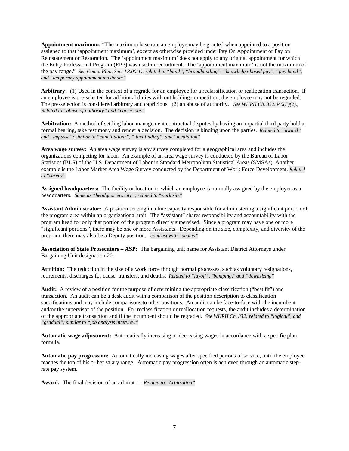**Appointment maximum: "**The maximum base rate an employe may be granted when appointed to a position assigned to that 'appointment maximum', except as otherwise provided under Pay On Appointment or Pay on Reinstatement or Restoration. The 'appointment maximum' does not apply to any original appointment for which the Entry Professional Program (EPP) was used in recruitment. The 'appointment maximum' is not the maximum of the pay range." *See Comp. Plan, Sec. J 3.00(1); related to "band", "broadbanding", "knowledge-based pay", "pay band", and "temporary appointment maximum"*

**Arbitrary:** (1) Used in the context of a regrade for an employee for a reclassification or reallocation transaction. If an employee is pre-selected for additional duties with out holding competition, the employee may not be regraded. The pre-selection is considered arbitrary and capricious. (2) an abuse of authority. *See WHRH Ch. 332.040(F)(2)*., *Related to "abuse of authority" and "capricious"*

**Arbitration:** A method of settling labor-management contractual disputes by having an impartial third party hold a formal hearing, take testimony and render a decision. The decision is binding upon the parties. *Related to "award" and "impasse"; similar to "conciliation:", " fact finding", and "mediation"*

Area wage survey: An area wage survey is any survey completed for a geographical area and includes the organizations competing for labor. An example of an area wage survey is conducted by the Bureau of Labor Statistics (BLS) of the U.S. Department of Labor in Standard Metropolitan Statistical Areas (SMSAs) Another example is the Labor Market Area Wage Survey conducted by the Department of Work Force Development. *Related to "survey"*

**Assigned headquarters:** The facility or location to which an employee is normally assigned by the employer as a headquarters. *Same as "headquarters city"; related to "work site"*

**Assistant Administrator:** A position serving in a line capacity responsible for administering a significant portion of the program area within an organizational unit. The "assistant" shares responsibility and accountability with the program head for only that portion of the program directly supervised. Since a program may have one or more "significant portions", there may be one or more Assistants. Depending on the size, complexity, and diversity of the program, there may also be a Deputy position. *contrast with "deputy"*

**Association of State Prosecutors – ASP:** The bargaining unit name for Assistant District Attorneys under Bargaining Unit designation 20.

**Attrition:** The reduction in the size of a work force through normal processes, such as voluntary resignations, retirements, discharges for cause, transfers, and deaths. *Related to "layoff", "bumping," and "downsizing"*

**Audit:** A review of a position for the purpose of determining the appropriate classification ("best fit") and transaction. An audit can be a desk audit with a comparison of the position description to classification specifications and may include comparisons to other positions. An audit can be face-to-face with the incumbent and/or the supervisor of the position. For reclassification or reallocation requests, the audit includes a determination of the appropriate transaction and if the incumbent should be regraded. *See WHRH Ch. 332; related to "logical", and "gradual"; similar to "job analysis interview"*

**Automatic wage adjustment:** Automatically increasing or decreasing wages in accordance with a specific plan formula.

**Automatic pay progression:** Automatically increasing wages after specified periods of service, until the employee reaches the top of his or her salary range. Automatic pay progression often is achieved through an automatic steprate pay system.

**Award:** The final decision of an arbitrator. *Related to "Arbitration"*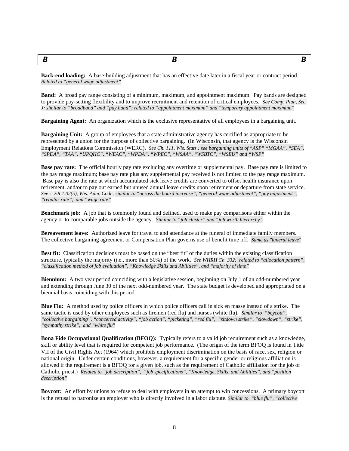<span id="page-7-0"></span>

*B B B*

**Back-end loading:** A base-building adjustment that has an effective date later in a fiscal year or contract period. *Related to "general wage adjustment"*

**Band:** A broad pay range consisting of a minimum, maximum, and appointment maximum. Pay bands are designed to provide pay-setting flexibility and to improve recruitment and retention of critical employees. S*ee Comp. Plan, Sec. J; similar to "broadband" and "pay band"; related to "appointment maximum" and "temporary appointment maximum"*

**Bargaining Agent:** An organization which is the exclusive representative of all employees in a bargaining unit.

**Bargaining Unit:** A group of employees that a state administrative agency has certified as appropriate to be represented by a union for the purpose of collective bargaining. (In Wisconsin, that agency is the Wisconsin Employment Relations Commission (WERC). *See Ch. 111, Wis. Stats.; see bargaining units of "ASP" "MGAA", "SEA", "SPDA", "TAA", "UPQHC", "WEAC", "WPDA", "WPEC", "WSAA", "WSBTC", "WSEU" and "WSP"*

**Base pay rate:** The official hourly pay rate excluding any overtime or supplemental pay. Base pay rate is limited to the pay range maximum; base pay rate plus any supplemental pay received is not limited to the pay range maximum. Base pay is also the rate at which accumulated sick leave credits are converted to offset health insurance upon retirement, and/or to pay out earned but unused annual leave credits upon retirement or departure from state service. *See s. ER 1.02(5), Wis. Adm. Code; similar to "across the board increase", "general wage adjustment", "pay adjustment", "regular rate", and "wage rate"*

**Benchmark job:** A job that is commonly found and defined, used to make pay comparisons either within the agency or to comparable jobs outside the agency. *Similar to "job cluster" and "job worth hierarchy"*

**Bereavement leave:** Authorized leave for travel to and attendance at the funeral of immediate family members. The collective bargaining agreement or Compensation Plan governs use of benefit time off. *Same as "funeral leave"*

**Best fit:** Classification decisions must be based on the "best fit" of the duties within the existing classification structure, typically the majority (i.e., more than 50%) of the work. *See WHRH Ch. 332; related to "allocation pattern", "classification method of job evaluation", "Knowledge Skills and Abilities", and "majority of time"*

**Biennium:** A two year period coinciding with a legislative session, beginning on July 1 of an odd-numbered year and extending through June 30 of the next odd-numbered year. The state budget is developed and appropriated on a biennial basis coinciding with this period.

**Blue Flu:** A method used by police officers in which police officers call in sick en masse instead of a strike. The same tactic is used by other employees such as firemen (red flu) and nurses (white flu). *Similar to "boycott", "collective bargaining", "concerted activity", "job action", "picketing", "red flu", "sitdown strike", "slowdown", "strike", "sympathy strike", and "white flu"*

**Bona Fide Occupational Qualification (BFOQ):** Typically refers to a valid job requirement such as a knowledge, skill or ability level that is required for competent job performance. (The origin of the term BFOQ is found in Title VII of the Civil Rights Act (1964) which prohibits employment discrimination on the basis of race, sex, religion or national origin. Under certain conditions, however, a requirement for a specific gender or religious affiliation is allowed if the requirement is a BFOQ for a given job, such as the requirement of Catholic affiliation for the job of Catholic priest.) *Related to "job description", "job specifications", "Knowledge, Skills, and Abilities", and "position description"*

**Boycott:** An effort by unions to refuse to deal with employers in an attempt to win concessions. A primary boycott is the refusal to patronize an employer who is directly involved in a labor dispute. *Similar to "blue flu", "collective*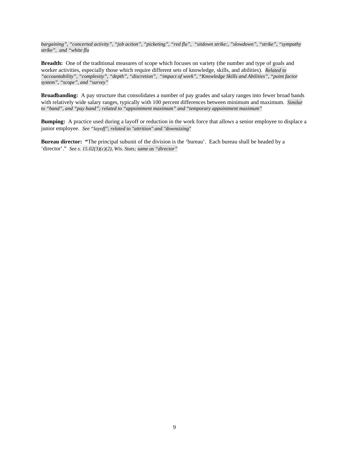*bargaining", "concerted activity", "job action", "picketing", "red flu", "sitdown strike:, "slowdown", "strike", "sympathy strike", and "white flu*

**Breadth:** One of the traditional measures of scope which focuses on variety (the number and type of goals and worker activities, especially those which require different sets of knowledge, skills, and abilities). *Related to "accountability", "complexity", "depth", "discretion", "impact of work", "Knowledge Skills and Abilities", "point factor system", "scope", and "survey"*

**Broadbanding:** A pay structure that consolidates a number of pay grades and salary ranges into fewer broad bands with relatively wide salary ranges, typically with 100 percent differences between minimum and maximum. *Similar to "band", and "pay band"; related to "appointment maximum" and "temporary appointment maximum"*

**Bumping:** A practice used during a layoff or reduction in the work force that allows a senior employee to displace a junior employee. *See "layoff"; related to "attrition" and "downsizing"*

**Bureau director: "**The principal subunit of the division is the 'bureau'. Each bureau shall be headed by a 'director'." *See s. 15.02(3)(c)(2), Wis. Stats; same as "director"*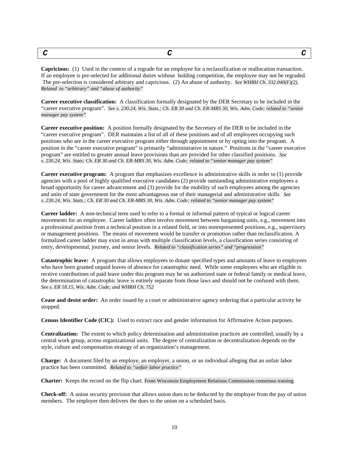<span id="page-9-0"></span>

|--|--|

**Capricious:** (1) Used in the context of a regrade for an employee for a reclassification or reallocation transaction. If an employee is pre-selected for additional duties without holding competition, the employee may not be regraded. The pre-selection is considered arbitrary and capricious. (2) An abuse of authority. *See WHRH Ch. 332.040(F)(2)*, *Related to "arbitrary" and "abuse of authority"*

**Career executive classification:** A classification formally designated by the DER Secretary to be included in the "career executive program". *See s. 230.24, Wis. Stats.; Ch. ER 30 and Ch. ER-MRS 30, Wis. Adm. Code; related to "senior manager pay system"*

**Career executive position:** A position formally designated by the Secretary of the DER to be included in the "career executive program". DER maintains a list of all of these positions and of all employees occupying such positions who are in the career executive program either through appointment or by opting into the program. A position in the "career executive program" is primarily "administrative in nature." Positions in the "career executive program" are entitled to greater annual leave provisions than are provided for other classified positions. *See s. 230.24, Wis. Stats; Ch. ER 30 and Ch. ER-MRS 30, Wis. Adm. Code; related to "senior manager pay system"*

**Career executive program:** A program that emphasizes excellence in administrative skills in order to (1) provide agencies with a pool of highly qualified executive candidates (2) provide outstanding administrative employees a broad opportunity for career advancement and (3) provide for the mobility of such employees among the agencies and units of state government for the most advantageous use of their managerial and administrative skills. *See s. 230.24, Wis. Stats.; Ch. ER 30 and Ch. ER-MRS 30, Wis. Adm. Code; related to "senior manager pay system"*

**Career ladder:** A non-technical term used to refer to a formal or informal pattern of typical or logical career movements for an employee. Career ladders often involve movement between bargaining units, e.g., movement into a professional position from a technical position in a related field, or into nonrepresented positions, e.g., supervisory or management positions. The means of movement would be transfer or promotion rather than reclassification. A formalized career ladder may exist in areas with multiple classification levels, a classification series consisting of entry, developmental, journey, and senior levels. *Related to "classification series" and "progression"*

**Catastrophic leave:** A program that allows employees to donate specified types and amounts of leave to employees who have been granted unpaid leaves of absence for catastrophic need. While some employees who are eligible to receive contributions of paid leave under this program may be on authorized state or federal family or medical leave, the determination of catastrophic leave is entirely separate from those laws and should not be confused with them. *See s. ER 18.15, Wis. Adm. Code; and WHRH Ch. 752*

**Cease and desist order:** An order issued by a court or administrative agency ordering that a particular activity be stopped.

**Census Identifier Code (CIC):** Used to extract race and gender information for Affirmative Action purposes.

**Centralization:** The extent to which policy determination and administration practices are controlled, usually by a central work group, across organizational units. The degree of centralization or decentralization depends on the style, culture and compensation strategy of an organization's management.

**Charge:** A document filed by an employe, an employer, a union, or an individual alleging that an unfair labor practice has been committed. *Related to "unfair labor practice"*

**Charter:** Keeps the record on the flip chart. From Wisconsin Employment Relations Commission consensus training

**Check-off:** A union security provision that allows union dues to be deducted by the employer from the pay of union members. The employer then delivers the dues to the union on a scheduled basis.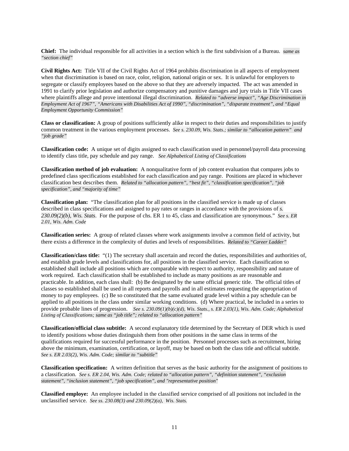**Chief:** The individual responsible for all activities in a section which is the first subdivision of a Bureau. *same as "section chief"*

**Civil Rights Act:** Title VII of the Civil Rights Act of 1964 prohibits discrimination in all aspects of employment when that discrimination is based on race, color, religion, national origin or sex. It is unlawful for employers to segregate or classify employees based on the above so that they are adversely impacted. The act was amended in 1991 to clarify prior legislation and authorize compensatory and punitive damages and jury trials in Title VII cases where plaintiffs allege and prove intentional illegal discrimination. *Related to "adverse impact", "Age Discrimination in Employment Act of 1967", "Americans with Disabilities Act of 1990", "discrimination", "disparate treatment", and "Equal Employment Opportunity Commission"*

**Class or classification:** A group of positions sufficiently alike in respect to their duties and responsibilities to justify common treatment in the various employment processes. *See s. 230.09, Wis. Stats.; similar to "allocation pattern" and "job grade"*

**Classification code:** A unique set of digits assigned to each classification used in personnel/payroll data processing to identify class title, pay schedule and pay range. *See Alphabetical Listing of Classifications*

**Classification method of job evaluation:** A nonqualitative form of job content evaluation that compares jobs to predefined class specifications established for each classification and pay range. Positions are placed in whichever classification best describes them. *Related to "allocation pattern", "best fit", "classification specification", "job specification", and "majority of time"*

**Classification plan:** "The classification plan for all positions in the classified service is made up of classes described in class specifications and assigned to pay rates or ranges in accordance with the provisions of *s. 230.09(2)(b), Wis. Stats*. For the purpose of chs. ER 1 to 45, class and classification are synonymous." *See s. ER 2.01, Wis. Adm. Code*

**Classification series:** A group of related classes where work assignments involve a common field of activity, but there exists a difference in the complexity of duties and levels of responsibilities. *Related to "Career Ladder"*

**Classification/class title:** "(1) The secretary shall ascertain and record the duties, responsibilities and authorities of, and establish grade levels and classifications for, all positions in the classified service. Each classification so established shall include all positions which are comparable with respect to authority, responsibility and nature of work required. Each classification shall be established to include as many positions as are reasonable and practicable. In addition, each class shall: (b) Be designated by the same official generic title. The official titles of classes so established shall be used in all reports and payrolls and in all estimates requesting the appropriation of money to pay employees. (c) Be so constituted that the same evaluated grade level within a pay schedule can be applied to all positions in the class under similar working conditions. (d) Where practical, be included in a series to provide probable lines of progression. *See s. 230.09(1)(b)(c)(d), Wis. Stats., s. ER 2.03(1), Wis. Adm. Code; Alphabetical Listing of Classifications; same as "job title"; related to "allocation pattern"*

**Classification/official class subtitle:** A second explanatory title determined by the Secretary of DER which is used to identify positions whose duties distinguish them from other positions in the same class in terms of the qualifications required for successful performance in the position. Personnel processes such as recruitment, hiring above the minimum, examination, certification, or layoff, may be based on both the class title and official subtitle. *See s. ER 2.03(2), Wis. Adm. Code; similar to "subtitle"*

**Classification specification:** A written definition that serves as the basic authority for the assignment of positions to a classification. *See s. ER 2.04, Wis. Adm. Code; related to "allocation pattern", "definition statement", "exclusion statement", "inclusion statement", "job specification", and "representative position"*

**Classified employe:** An employee included in the classified service comprised of all positions not included in the unclassified service. *See ss. 230.08(3) and 230.09(2)(a), Wis. Stats.*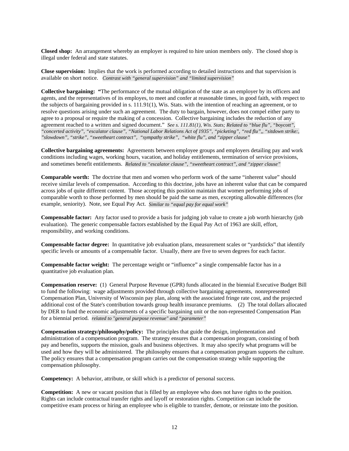**Closed shop:** An arrangement whereby an employer is required to hire union members only. The closed shop is illegal under federal and state statutes.

**Close supervision:** Implies that the work is performed according to detailed instructions and that supervision is available on short notice. *Contrast with "general supervision" and "limited supervision"*

**Collective bargaining: "**The performance of the mutual obligation of the state as an employer by its officers and agents, and the representatives of its employes, to meet and confer at reasonable times, in good faith, with respect to the subjects of bargaining provided in s. 111.91(1), Wis. Stats. with the intention of reaching an agreement, or to resolve questions arising under such an agreement. The duty to bargain, however, does not compel either party to agree to a proposal or require the making of a concession. Collective bargaining includes the reduction of any agreement reached to a written and signed document." *See s. 111.81(1), Wis. Stats; Related to "blue flu", "boycott", "concerted activity", "escalator clause", "National Labor Relations Act of 1935", "picketing", "red flu",, "sitdown strike:, "slowdown", "strike", "sweetheart contract", "sympathy strike", "white flu", and "zipper clause"*

**Collective bargaining agreements:** Agreements between employee groups and employers detailing pay and work conditions including wages, working hours, vacation, and holiday entitlements, termination of service provisions, and sometimes benefit entitlements. *Related to "escalator clause", "sweetheart contract", and "zipper clause"*

**Comparable worth:** The doctrine that men and women who perform work of the same "inherent value" should receive similar levels of compensation. According to this doctrine, jobs have an inherent value that can be compared across jobs of quite different content. Those accepting this position maintain that women performing jobs of comparable worth to those performed by men should be paid the same as men, excepting allowable differences (for example, seniority). Note, see Equal Pay Act. *Similar to "equal pay for equal work"*

**Compensable factor:** Any factor used to provide a basis for judging job value to create a job worth hierarchy (job evaluation). The generic compensable factors established by the Equal Pay Act of 1963 are skill, effort, responsibility, and working conditions.

**Compensable factor degree:** In quantitative job evaluation plans, measurement scales or "yardsticks" that identify specific levels or amounts of a compensable factor. Usually, there are five to seven degrees for each factor.

**Compensable factor weight:** The percentage weight or "influence" a single compensable factor has in a quantitative job evaluation plan.

**Compensation reserve:** (1)General Purpose Revenue (GPR) funds allocated in the biennial Executive Budget Bill to fund the following: wage adjustments provided through collective bargaining agreements, nonrepresented Compensation Plan, University of Wisconsin pay plan, along with the associated fringe rate cost, and the projected additional cost of the State's contribution towards group health insurance premiums. (2) The total dollars allocated by DER to fund the economic adjustments of a specific bargaining unit or the non-represented Compensation Plan for a biennial period. *related to "general purpose revenue" and "parameter"*

**Compensation strategy/philosophy/policy:** The principles that guide the design, implementation and administration of a compensation program. The strategy ensures that a compensation program, consisting of both pay and benefits, supports the mission, goals and business objectives. It may also specify what programs will be used and how they will be administered. The philosophy ensures that a compensation program supports the culture. The policy ensures that a compensation program carries out the compensation strategy while supporting the compensation philosophy.

**Competency:** A behavior, attribute, or skill which is a predictor of personal success.

**Competition:** A new or vacant position that is filled by an employee who does not have rights to the position. Rights can include contractual transfer rights and layoff or restoration rights. Competition can include the competitive exam process or hiring an employee who is eligible to transfer, demote, or reinstate into the position.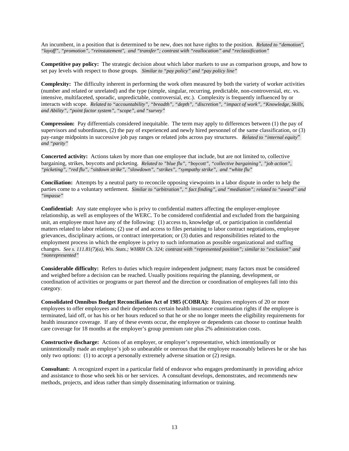An incumbent, in a position that is determined to be new, does not have rights to the position. *Related to "demotion", "layoff", "promotion", "reinstatement", and "transfer"; contrast with "reallocation" and "reclassification"*

**Competitive pay policy:** The strategic decision about which labor markets to use as comparison groups, and how to set pay levels with respect to those groups*. Similar to "pay policy" and "pay policy line"*

**Complexity:** The difficulty inherent in performing the work often measured by both the variety of worker activities (number and related or unrelated) and the type (simple, singular, recurring, predictable, non-controversial, etc. vs. intensive, multifaceted, sporadic, unpredictable, controversial, etc.). Complexity is frequently influenced by or interacts with scope. *Related to "accountability", "breadth", "depth", "discretion", "impact of work", "Knowledge, Skills, and Ability", "point factor system", "scope", and "survey"*

**Compression:** Pay differentials considered inequitable. The term may apply to differences between (1) the pay of supervisors and subordinates, (2) the pay of experienced and newly hired personnel of the same classification, or (3) pay-range midpoints in successive job pay ranges or related jobs across pay structures. *Related to "internal equity*" *and "parity"*

**Concerted activity:** Actions taken by more than one employee that include, but are not limited to, collective bargaining, strikes, boycotts and picketing. *Related to "blue flu", "boycott", "collective bargaining", "job action", "picketing", "red flu", "sitdown strike", "slowdown", "strikes", "sympathy strike", and "white flu"*

**Conciliation:** Attempts by a neutral party to reconcile opposing viewpoints in a labor dispute in order to help the parties come to a voluntary settlement. *Similar to "arbitration", " fact finding", and "mediation"; related to "award" and "impasse"*

**Confidential:** Any state employee who is privy to confidential matters affecting the employer-employee relationship, as well as employees of the WERC. To be considered confidential and excluded from the bargaining unit, an employee must have any of the following: (1) access to, knowledge of, or participation in confidential matters related to labor relations; (2) use of and access to files pertaining to labor contract negotiations, employee grievances, disciplinary actions, or contract interpretation; or (3) duties and responsibilities related to the employment process in which the employee is privy to such information as possible organizational and staffing changes. *See s. 111.81(7)(a), Wis. Stats.; WHRH Ch. 324; contrast with "represented position"; similar to "exclusion" and "nonrepresented"*

**Considerable difficulty:** Refers to duties which require independent judgment; many factors must be considered and weighed before a decision can be reached. Usually positions requiring the planning, development, or coordination of activities or programs or part thereof and the direction or coordination of employees fall into this category.

**Consolidated Omnibus Budget Reconciliation Act of 1985 (COBRA):** Requires employers of 20 or more employees to offer employees and their dependents certain health insurance continuation rights if the employee is terminated, laid off, or has his or her hours reduced so that he or she no longer meets the eligibility requirements for health insurance coverage. If any of these events occur, the employee or dependents can choose to continue health care coverage for 18 months at the employer's group premium rate plus 2% administration costs.

**Constructive discharge:** Actions of an employer, or employer's representative, which intentionally or unintentionally made an employe's job so unbearable or onerous that the employee reasonably believes he or she has only two options: (1) to accept a personally extremely adverse situation or (2) resign.

**Consultant:** A recognized expert in a particular field of endeavor who engages predominantly in providing advice and assistance to those who seek his or her services. A consultant develops, demonstrates, and recommends new methods, projects, and ideas rather than simply disseminating information or training.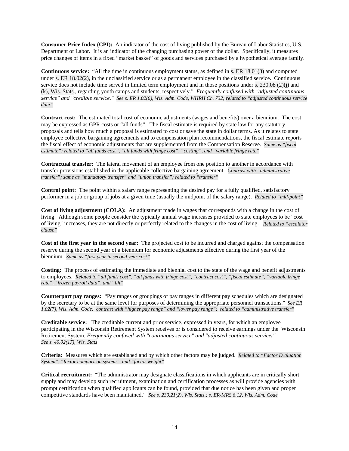**Consumer Price Index (CPI):** An indicator of the cost of living published by the Bureau of Labor Statistics, U.S. Department of Labor. It is an indicator of the changing purchasing power of the dollar. Specifically, it measures price changes of items in a fixed "market basket" of goods and services purchased by a hypothetical average family.

**Continuous service:** "All the time in continuous employment status, as defined in s. ER 18.01(3) and computed under s. ER 18.02(2), in the unclassified service or as a permanent employee in the classified service. Continuous service does not include time served in limited term employment and in those positions under s. 230.08 (2)(j) and (k), Wis. Stats., regarding youth camps and students, respectively." *Frequently confused with "adjusted continuous service" and "credible service." See s. ER 1.02(6), Wis. Adm. Code, WHRH Ch. 732; related to "adjusted continuous service date"*

**Contract cost:** The estimated total cost of economic adjustments (wages and benefits) over a biennium. The cost may be expressed as GPR costs or "all funds". The fiscal estimate is required by state law for any statutory proposals and tells how much a proposal is estimated to cost or save the state in dollar terms. As it relates to state employee collective bargaining agreements and to compensation plan recommendations, the fiscal estimate reports the fiscal effect of economic adjustments that are supplemented from the Compensation Reserve. *Same as "fiscal estimate"; related to "all funds cost", "all funds with fringe cost", "costing", and "variable fringe rate"*

**Contractual transfer:** The lateral movement of an employee from one position to another in accordance with transfer provisions established in the applicable collective bargaining agreement. *Contrast with "administrative transfer"; same as "mandatory transfer" and "union transfer"; related to "transfer"*

**Control point:** The point within a salary range representing the desired pay for a fully qualified, satisfactory performer in a job or group of jobs at a given time (usually the midpoint of the salary range). *Related to "mid-point"*

**Cost of living adjustment (COLA):** An adjustment made in wages that corresponds with a change in the cost of living. Although some people consider the typically annual wage increases provided to state employees to be "cost of living" increases, they are not directly or perfectly related to the changes in the cost of living. *Related to "escalator clause"*

**Cost of the first year in the second year:** The projected cost to be incurred and charged against the compensation reserve during the second year of a biennium for economic adjustments effective during the first year of the biennium. *Same as "first year in second year cost"*

**Costing:** The process of estimating the immediate and biennial cost to the state of the wage and benefit adjustments to employees. *Related to "all funds cost", "all funds with fringe cost", "contract cost", "fiscal estimate", "variable fringe rate", "frozen payroll data", and "lift"*

**Counterpart pay ranges:** "Pay ranges or groupings of pay ranges in different pay schedules which are designated by the secretary to be at the same level for purposes of determining the appropriate personnel transactions." *See ER 1.02(7), Wis. Adm. Code; contrast with "higher pay range" and "lower pay range"; related to "administrative transfer"*

**Creditable service:** The creditable current and prior service, expressed in years, for which an employee participating in the Wisconsin Retirement System receives or is considered to receive earnings under the Wisconsin Retirement System. *Frequently confused with "continuous service" and "adjusted continuous service." See s. 40.02(17), Wis. Stats*

**Criteria:** Measures which are established and by which other factors may be judged. *Related to "Factor Evaluation System", "factor comparison system", and "factor weight"*

**Critical recruitment:** "The administrator may designate classifications in which applicants are in critically short supply and may develop such recruitment, examination and certification processes as will provide agencies with prompt certification when qualified applicants can be found, provided that due notice has been given and proper competitive standards have been maintained." *See s. 230.21(2), Wis. Stats.; s. ER-MRS 6.12, Wis. Adm. Code*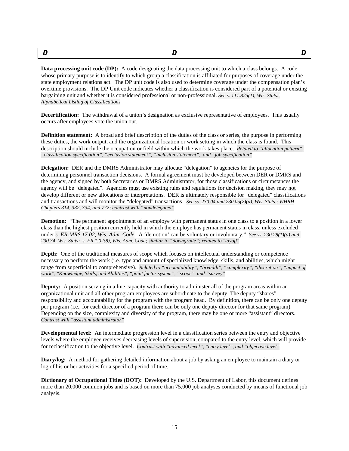<span id="page-14-0"></span>

| - | –<br>,, |  | - |
|---|---------|--|---|
|---|---------|--|---|

**Data processing unit code (DP):** A code designating the data processing unit to which a class belongs. A code whose primary purpose is to identify to which group a classification is affiliated for purposes of coverage under the state employment relations act. The DP unit code is also used to determine coverage under the compensation plan's overtime provisions. The DP Unit code indicates whether a classification is considered part of a potential or existing bargaining unit and whether it is considered professional or non-professional. *See s. 111.825(1), Wis. Stats.; Alphabetical Listing of Classifications*

**Decertification:** The withdrawal of a union's designation as exclusive representative of employees. This usually occurs after employees vote the union out.

**Definition statement:** A broad and brief description of the duties of the class or series, the purpose in performing these duties, the work output, and the organizational location or work setting in which the class is found. This description should include the occupation or field within which the work takes place. *Related to "allocation pattern", "classification specification", "exclusion statement", "inclusion statement", and "job specification"*

**Delegation:** DER and the DMRS Administrator may allocate "delegation" to agencies for the purpose of determining personnel transaction decisions. A formal agreement must be developed between DER or DMRS and the agency, and signed by both Secretaries or DMRS Administrator, for those classifications or circumstances the agency will be "delegated". Agencies must use existing rules and regulations for decision making, they may not develop different or new allocations or interpretations. DER is ultimately responsible for "delegated" classifications and transactions and will monitor the "delegated" transactions. *See ss. 230.04 and 230.05(2)(a), Wis. Stats.; WHRH Chapters 314, 332, 334, and 772; contrast with "nondelegated"*

**Demotion:** "The permanent appointment of an employe with permanent status in one class to a position in a lower class than the highest position currently held in which the employe has permanent status in class, unless excluded under *s. ER-MRS 17.02, Wis. Adm. Code*. A 'demotion' can be voluntary or involuntary." *See ss. 230.28(1)(d) and 230.34, Wis. Stats; s. ER 1.02(8), Wis. Adm. Code; similar to "downgrade"; related to "layoff"*

**Depth:** One of the traditional measures of scope which focuses on intellectual understanding or competence necessary to perform the work (i.e. type and amount of specialized knowledge, skills, and abilities, which might range from superficial to comprehensive). *Related to "accountability", "breadth", "complexity", "discretion", "impact of work", "Knowledge, Skills, and Abilities", "point factor system", "scope", and "survey"*

**Deputy:** A position serving in a line capacity with authority to administer all of the program areas within an organizational unit and all other program employees are subordinate to the deputy. The deputy "shares" responsibility and accountability for the program with the program head. By definition, there can be only one deputy per program (i.e., for each director of a program there can be only one deputy director for that same program). Depending on the size, complexity and diversity of the program, there may be one or more "assistant" directors. *Contrast with "assistant administrator"*

**Developmental level:** An intermediate progression level in a classification series between the entry and objective levels where the employee receives decreasing levels of supervision, compared to the entry level, which will provide for reclassification to the objective level. *Contrast with "advanced level", "entry level", and "objective level"*

**Diary/log:** A method for gathering detailed information about a job by asking an employee to maintain a diary or log of his or her activities for a specified period of time.

**Dictionary of Occupational Titles (DOT):** Developed by the U.S. Department of Labor, this document defines more than 20,000 common jobs and is based on more than 75,000 job analyses conducted by means of functional job analysis.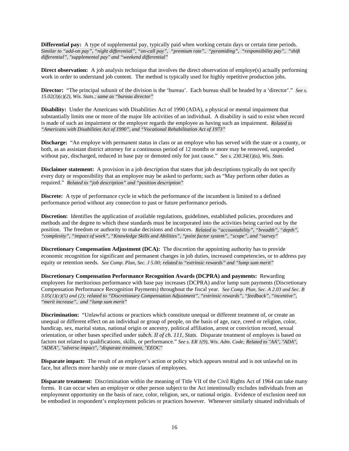**Differential pay:** A type of supplemental pay, typically paid when working certain days or certain time periods. *Similar to "add-on pay", "night differential", "on-call pay", "premium rate", "pyramiding", "responsibility pay", "shift differential", "supplemental pay" and "weekend differential"*

**Direct observation:** A job analysis technique that involves the direct observation of employe(s) actually performing work in order to understand job content. The method is typically used for highly repetitive production jobs.

**Director:** "The principal subunit of the division is the 'bureau'. Each bureau shall be headed by a 'director'." *See s. 15.02(3)(c)(2), Wis. Stats.; same as "bureau director"*

**Disability:** Under the Americans with Disabilities Act of 1990 (ADA), a physical or mental impairment that substantially limits one or more of the major life activities of an individual. A disability is said to exist when record is made of such an impairment or the employer regards the employee as having such an impairment. *Related to "Americans with Disabilities Act of 1990", and "Vocational Rehabilitation Act of 1973"*

**Discharge:** "An employe with permanent status in class or an employe who has served with the state or a county, or both, as an assistant district attorney for a continuous period of 12 months or more may be removed, suspended without pay, discharged, reduced in base pay or demoted only for just cause." *See s. 230.34(1)(a), Wis. Stats.* 

**Disclaimer statement:** A provision in a job description that states that job descriptions typically do not specify every duty or responsibility that an employee may be asked to perform; such as "May perform other duties as required." *Related to "job description" and "position description"*

**Discrete:** A type of performance cycle in which the performance of the incumbent is limited to a defined performance period without any connection to past or future performance periods.

**Discretion:** Identifies the application of available regulations, guidelines, established policies, procedures and methods and the degree to which these standards must be incorporated into the activities being carried out by the position. The freedom or authority to make decisions and choices. *Related to "accountability", "breadth", "depth", "complexity", "impact of work", "Knowledge Skills and Abilities", "point factor system", "scope", and "survey"*

**Discretionary Compensation Adjustment (DCA):** The discretion the appointing authority has to provide economic recognition for significant and permanent changes in job duties, increased competencies, or to address pay equity or retention needs. *See Comp. Plan, Sec. J 5.00; related to "extrinsic rewards" and "lump sum merit"*

**Discretionary Compensation Performance Recognition Awards (DCPRA) and payments:** Rewarding employees for meritorious performance with base pay increases (DCPRA) and/or lump sum payments (Discretionary Compensation Performance Recognition Payments) throughout the fiscal year. *See Comp. Plan, Sec. A 2.03 and Sec. B 3.05(1)(c)(5) and (2); related to "Discretionary Compensation Adjustment", "extrinsic rewards", "feedback", "incentive", "merit increase", and "lump sum merit"*

**Discrimination:** "Unlawful actions or practices which constitute unequal or different treatment of, or create an unequal or different effect on an individual or group of people, on the basis of age, race, creed or religion, color, handicap, sex, marital status, national origin or ancestry, political affiliation, arrest or conviction record, sexual orientation, or other bases specified under *subch. II of ch. 111, Stats*. Disparate treatment of employes is based on factors not related to qualifications, skills, or performance." *See s. ER 1(9), Wis. Adm. Code; Related to "AA", "ADA", "ADEA", "adverse impact", "disparate treatment, "EEOC"*

**Disparate impact:** The result of an employer's action or policy which appears neutral and is not unlawful on its face, but affects more harshly one or more classes of employees.

**Disparate treatment:** Discrimination within the meaning of Title VII of the Civil Rights Act of 1964 can take many forms. It can occur when an employer or other person subject to the Act intentionally excludes individuals from an employment opportunity on the basis of race, color, religion, sex, or national origin. Evidence of exclusion need not be embodied in respondent's employment policies or practices however. Whenever similarly situated individuals of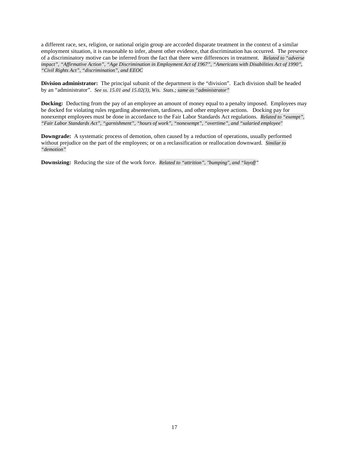a different race, sex, religion, or national origin group are accorded disparate treatment in the context of a similar employment situation, it is reasonable to infer, absent other evidence, that discrimination has occurred. The presence of a discriminatory motive can be inferred from the fact that there were differences in treatment. *Related to "adverse impact", "Affirmative Action", "Age Discrimination in Employment Act of 1967", "Americans with Disabilities Act of 1990", "Civil Rights Act", "discrimination", and EEOC*

**Division administrator:** The principal subunit of the department is the "division". Each division shall be headed by an "administrator". *See ss. 15.01 and 15.02(3), Wis. Stats.; same as "administrator"*

**Docking:** Deducting from the pay of an employee an amount of money equal to a penalty imposed. Employees may be docked for violating rules regarding absenteeism, tardiness, and other employee actions. Docking pay for nonexempt employees must be done in accordance to the Fair Labor Standards Act regulations. *Related to "exempt", "Fair Labor Standards Act", "garnishment", "hours of work", "nonexempt", "overtime", and "salaried employee"*

**Downgrade:** A systematic process of demotion, often caused by a reduction of operations, usually performed without prejudice on the part of the employees; or on a reclassification or reallocation downward. *Similar to "demotion"*

**Downsizing:** Reducing the size of the work force. *Related to "attrition", "bumping", and "layoff"*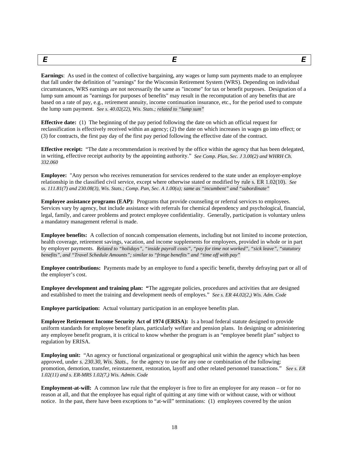<span id="page-17-0"></span>*E E E* **Earnings**: As used in the context of collective bargaining, any wages or lump sum payments made to an employee

that fall under the definition of "earnings" for the Wisconsin Retirement System (WRS). Depending on individual circumstances, WRS earnings are not necessarily the same as "income" for tax or benefit purposes. Designation of a lump sum amount as "earnings for purposes of benefits" may result in the recomputation of any benefits that are based on a rate of pay, e.g., retirement annuity, income continuation insurance, etc., for the period used to compute the lump sum payment. *See s. 40.02(22), Wis. Stats.; related to "lump sum"*

**Effective date:** (1) The beginning of the pay period following the date on which an official request for reclassification is effectively received within an agency; (2) the date on which increases in wages go into effect; or (3) for contracts, the first pay day of the first pay period following the effective date of the contract.

**Effective receipt:** "The date a recommendation is received by the office within the agency that has been delegated, in writing, effective receipt authority by the appointing authority." *See Comp. Plan, Sec. J 3.00(2) and WHRH Ch. 332.060*

**Employee:** "Any person who receives remuneration for services rendered to the state under an employer-employe relationship in the classified civil service, except where otherwise stated or modified by rule s. ER 1.02(10). *See ss. 111.81(7) and 230.08(3), Wis. Stats.; Comp. Pan, Sec. A 1.00(a); same as "incumbent" and "subordinate"*

**Employee assistance programs (EAP):** Programs that provide counseling or referral services to employees. Services vary by agency, but include assistance with referrals for chemical dependency and psychological, financial, legal, family, and career problems and protect employee confidentiality. Generally, participation is voluntary unless a mandatory management referral is made.

**Employee benefits:** A collection of noncash compensation elements, including but not limited to income protection, health coverage, retirement savings, vacation, and income supplements for employees, provided in whole or in part by employer payments. *Related to "holidays", "inside payroll costs", "pay for time not worked", "sick leave", "statutory benefits", and "Travel Schedule Amounts"; similar to "fringe benefits" and "time off with pay"*

**Employee contributions:** Payments made by an employee to fund a specific benefit, thereby defraying part or all of the employer's cost.

**Employee development and training plan:** "The aggregate policies, procedures and activities that are designed and established to meet the training and development needs of employes." *See s. ER 44.02(2,) Wis. Adm. Code*

**Employee participation:** Actual voluntary participation in an employee benefits plan.

**Employee Retirement Income Security Act of 1974 (ERISA):** Is a broad federal statute designed to provide uniform standards for employee benefit plans, particularly welfare and pension plans. In designing or administering any employee benefit program, it is critical to know whether the program is an "employee benefit plan" subject to regulation by ERISA.

**Employing unit:** "An agency or functional organizational or geographical unit within the agency which has been approved, under *s. 230.30, Wis. Stats*., for the agency to use for any one or combination of the following: promotion, demotion, transfer, reinstatement, restoration, layoff and other related personnel transactions." *See s. ER 1.02(11) and s. ER-MRS 1.02(7,) Wis. Admin. Code*

**Employment-at-will:** A common law rule that the employer is free to fire an employee for any reason – or for no reason at all, and that the employee has equal right of quitting at any time with or without cause, with or without notice. In the past, there have been exceptions to "at-will" terminations: (1) employees covered by the union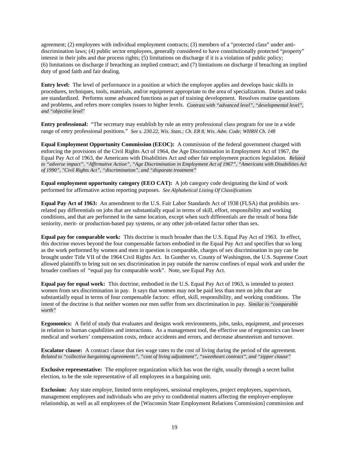agreement; (2) employees with individual employment contracts; (3) members of a "protected class" under antidiscrimination laws; (4) public sector employees, generally considered to have constitutionally protected "property" interest in their jobs and due process rights; (5) limitations on discharge if it is a violation of public policy; (6) limitations on discharge if breaching an implied contract; and (7) limitations on discharge if breaching an implied duty of good faith and fair dealing.

**Entry level:** The level of performance in a position at which the employee applies and develops basic skills in procedures, techniques, tools, materials, and/or equipment appropriate to the area of specialization. Duties and tasks are standardized. Performs some advanced functions as part of training development. Resolves routine questions and problems, and refers more complex issues to higher levels. *Contrast with "advanced level", "developmental level", and "objective level"*

**Entry professional:** "The secretary may establish by rule an entry professional class program for use in a wide range of entry professional positions." *See s. 230.22, Wis. Stats.; Ch. ER 8, Wis. Adm. Code; WHRH Ch. 148*

**Equal Employment Opportunity Commission (EEOC):** A commission of the federal government charged with enforcing the provisions of the Civil Rights Act of 1964, the Age Discrimination in Employment Act of 1967, the Equal Pay Act of 1963, the Americans with Disabilities Act and other fair employment practices legislation. *Related to "adverse impact", "Affirmative Action", "Age Discrimination in Employment Act of 1967", "Americans with Disabilities Act of 1990", "Civil Rights Act", "discrimination", and "disparate treatment"*

**Equal employment opportunity category (EEO CAT):** A job category code designating the kind of work performed for affirmative action reporting purposes. *See Alphabetical Listing Of Classifications*

**Equal Pay Act of 1963:** An amendment to the U.S. Fair Labor Standards Act of 1938 (FLSA) that prohibits sexrelated pay differentials on jobs that are substantially equal in terms of skill, effort, responsibility and working conditions, and that are performed in the same location, except when such differentials are the result of bona fide seniority, merit- or production-based pay systems, or any other job-related factor other than sex.

**Equal pay for comparable work:** This doctrine is much broader than the U.S. Equal Pay Act of 1963. In effect, this doctrine moves beyond the four compensable factors embodied in the Equal Pay Act and specifies that so long as the work performed by women and men in question is comparable, charges of sex discrimination in pay can be brought under Title VII of the 1964 Civil Rights Act. In Gunther vs. County of Washington, the U.S. Supreme Court allowed plaintiffs to bring suit on sex discrimination in pay outside the narrow confines of equal work and under the broader confines of "equal pay for comparable work". Note, see Equal Pay Act.

**Equal pay for equal work:** This doctrine, embodied in the U.S. Equal Pay Act of 1963, is intended to protect women from sex discrimination in pay. It says that women may not be paid less than men on jobs that are substantially equal in terms of four compensable factors: effort, skill, responsibility, and working conditions. The intent of the doctrine is that neither women nor men suffer from sex discrimination in pay. *Similar to "comparable worth"*

**Ergonomics:** A field of study that evaluates and designs work environments, jobs, tasks, equipment, and processes in relation to human capabilities and interactions. As a management tool, the effective use of ergonomics can lower medical and workers' compensation costs, reduce accidents and errors, and decrease absenteeism and turnover.

**Escalator clause:** A contract clause that ties wage rates to the cost of living during the period of the agreement. *Related to "collective bargaining agreements", "cost of living adjustment", "sweetheart contract", and "zipper clause"*

**Exclusive representative:** The employee organization which has won the right, usually through a secret ballot election, to be the sole representative of all employees in a bargaining unit.

**Exclusion:** Any state employe, limited term employees, sessional employees, project employees, supervisors, management employees and individuals who are privy to confidential matters affecting the employer-employee relationship, as well as all employees of the [Wisconsin State Employment Relations Commission] commission and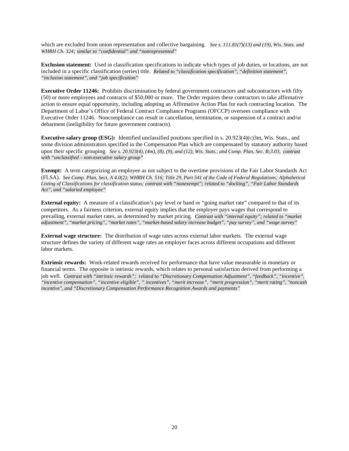which are excluded from union representation and collective bargaining. *See s. 111.81(7)(13) and (19), Wis. Stats. and WHRH Ch. 324; similar to "confidential" and "nonrepresented"*

**Exclusion statement:** Used in classification specifications to indicate which types of job duties, or locations, are not included in a specific classification (series) title. *Related to "classification specification", "definition statement", "inclusion statement", and "job specification"*

**Executive Order 11246:** Prohibits discrimination by federal government contractors and subcontractors with fifty (50) or more employees and contracts of \$50,000 or more. The Order requires these contractors to take affirmative action to ensure equal opportunity, including adopting an Affirmative Action Plan for each contracting location. The Department of Labor's Office of Federal Contract Compliance Programs (OFCCP) oversees compliance with Executive Order 11246. Noncompliance can result in cancellation, termination, or suspension of a contract and/or debarment (ineligibility for future government contracts).

**Executive salary group (ESG):** Identified unclassified positions specified in s. 20.923(4)(c)3m, Wis. Stats., and some division administrators specified in the Compensation Plan which are compensated by statutory authority based upon their specific grouping. *See s. 20.923(4), (4m), (8), (9), and (12), Wis. Stats.*; *and Comp. Plan, Sec. B;3.03, contrast with "unclassified – non-executive salary group"*

**Exempt:** A term categorizing an employee as not subject to the overtime provisions of the Fair Labor Standards Act (FLSA). *See Comp. Plan, Sect, A 4.0(2); WHRH Ch. 516; Title 29, Part 541 of the Code of Federal Regulations; Alphabetical Listing of Classifications for classification status; contrast with "nonexempt"; related to "docking", "Fair Labor Standards Act", and "salaried employee"*

**External equity:** A measure of a classification's pay level or band or "going market rate" compared to that of its competitors. As a fairness criterion, external equity implies that the employer pays wages that correspond to prevailing, external market rates, as determined by market pricing. *Contrast with "internal equity"; related to "market adjustment", "market pricing", "market rates", "market-based salary increase budget", "pay survey", and "wage survey"*

**External wage structure:** The distribution of wage rates across external labor markets. The external wage structure defines the variety of different wage rates an employer faces across different occupations and different labor markets.

**Extrinsic rewards:** Work-related rewards received for performance that have value measurable in monetary or financial terms. The opposite is intrinsic rewards, which relates to personal satisfaction derived from performing a job well. *Contrast with "intrinsic rewards"; related to "Discretionary Compensation Adjustment", "feedback", "incentive", "incentive compensation", "incentive eligible", " incentives", "merit increase", "merit progression", "merit rating", "noncash incentive", and "Discretionary Compensation Performance Recognition Awards and payments"*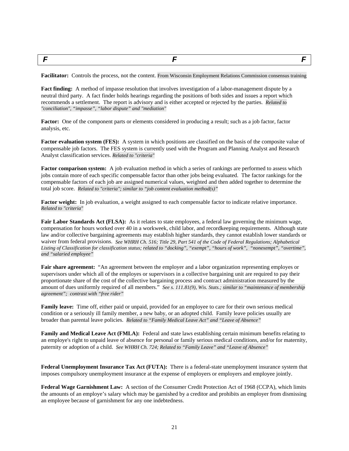<span id="page-20-0"></span>*F F F*

**Facilitator:** Controls the process, not the content. From Wisconsin Employment Relations Commission consensus training

**Fact finding:** A method of impasse resolution that involves investigation of a labor-management dispute by a neutral third party. A fact finder holds hearings regarding the positions of both sides and issues a report which recommends a settlement. The report is advisory and is either accepted or rejected by the parties. *Related to "conciliation", "impasse", "labor dispute" and "mediation"*

**Factor:** One of the component parts or elements considered in producing a result; such as a job factor, factor analysis, etc.

**Factor evaluation system (FES):** A system in which positions are classified on the basis of the composite value of compensable job factors. The FES system is currently used with the Program and Planning Analyst and Research Analyst classification services. *Related to "criteria"*

**Factor comparison system:** A job evaluation method in which a series of rankings are performed to assess which jobs contain more of each specific compensable factor than other jobs being evaluated. The factor rankings for the compensable factors of each job are assigned numerical values, weighted and then added together to determine the total job score. *Related to "criteria"; similar to "job content evaluation method(s)"*

**Factor weight:** In job evaluation, a weight assigned to each compensable factor to indicate relative importance. *Related to "criteria"*

**Fair Labor Standards Act (FLSA):** As it relates to state employees, a federal law governing the minimum wage, compensation for hours worked over 40 in a workweek, child labor, and recordkeeping requirements. Although state law and/or collective bargaining agreements may establish higher standards, they cannot establish lower standards or waiver from federal provisions.*See WHRH Ch. 516; Title 29, Part 541 of the Code of Federal Regulations; Alphabetical Listing of Classification for classification status; related to "docking", "exempt", "hours of work", "nonexempt", "overtime", and "salaried employee"*

**Fair share agreement:** "An agreement between the employer and a labor organization representing employes or supervisors under which all of the employes or supervisors in a collective bargaining unit are required to pay their proportionate share of the cost of the collective bargaining process and contract administration measured by the amount of dues uniformly required of all members." *See s. 111.81(9), Wis. Stats.; similar to "maintenance of membership agreement"; contrast with "free rider"*

**Family leave:** Time off, either paid or unpaid, provided for an employee to care for their own serious medical condition or a seriously ill family member, a new baby, or an adopted child. Family leave policies usually are broader than parental leave policies. *Related to "Family Medical Leave Act" and "Leave of Absence"*

**Family and Medical Leave Act (FMLA):** Federal and state laws establishing certain minimum benefits relating to an employe's right to unpaid leave of absence for personal or family serious medical conditions, and/or for maternity, paternity or adoption of a child. *See WHRH Ch. 724; Related to "Family Leave" and "Leave of Absence"*

**Federal Unemployment Insurance Tax Act (FUTA):** There is a federal-state unemployment insurance system that imposes compulsory unemployment insurance at the expense of employers or employers and employee jointly.

**Federal Wage Garnishment Law:** A section of the Consumer Credit Protection Act of 1968 (CCPA), which limits the amounts of an employe's salary which may be garnished by a creditor and prohibits an employer from dismissing an employee because of garnishment for any one indebtedness.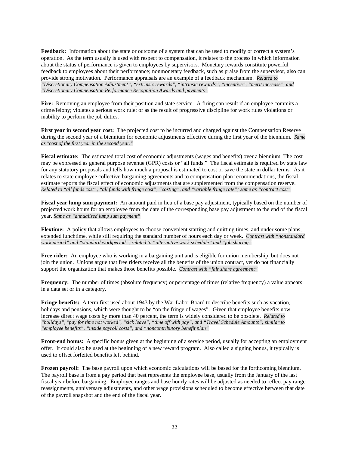**Feedback:** Information about the state or outcome of a system that can be used to modify or correct a system's operation. As the term usually is used with respect to compensation, it relates to the process in which information about the status of performance is given to employees by supervisors. Monetary rewards constitute powerful feedback to employees about their performance; nonmonetary feedback, such as praise from the supervisor, also can provide strong motivation. Performance appraisals are an example of a feedback mechanism. *Related to "Discretionary Compensation Adjustment", "extrinsic rewards", "intrinsic rewards", "incentive", "merit increase", and "Discretionary Compensation Performance Recognition Awards and payments"*

**Fire:** Removing an employee from their position and state service. A firing can result if an employee commits a crime/felony; violates a serious work rule; or as the result of progressive discipline for work rules violations or inability to perform the job duties.

**First year in second year cost:** The projected cost to be incurred and charged against the Compensation Reserve during the second year of a biennium for economic adjustments effective during the first year of the biennium. *Same as "cost of the first year in the second year."*

**Fiscal estimate:** The estimated total cost of economic adjustments (wages and benefits) over a biennium The cost may be expressed as general purpose revenue (GPR) costs or "all funds." The fiscal estimate is required by state law for any statutory proposals and tells how much a proposal is estimated to cost or save the state in dollar terms. As it relates to state employee collective bargaining agreements and to compensation plan recommendations, the fiscal estimate reports the fiscal effect of economic adjustments that are supplemented from the compensation reserve. *Related to "all funds cost", "all funds with fringe cost", "costing", and "variable fringe rate"; same as "contract cost"*

**Fiscal year lump sum payment:** An amount paid in lieu of a base pay adjustment, typically based on the number of projected work hours for an employee from the date of the corresponding base pay adjustment to the end of the fiscal year. *Same as "annualized lump sum payment"*

**Flextime:** A policy that allows employees to choose convenient starting and quitting times, and under some plans, extended lunchtime, while still requiring the standard number of hours each day or week. *Contrast with "nonstandard work period" and "standard workperiod"; related to "alternative work schedule" and "job sharing"*

**Free rider:** An employee who is working in a bargaining unit and is eligible for union membership, but does not join the union. Unions argue that free riders receive all the benefits of the union contract, yet do not financially support the organization that makes those benefits possible. *Contrast with "fair share agreement"*

**Frequency:** The number of times (absolute frequency) or percentage of times (relative frequency) a value appears in a data set or in a category.

**Fringe benefits:** A term first used about 1943 by the War Labor Board to describe benefits such as vacation, holidays and pensions, which were thought to be "on the fringe of wages". Given that employee benefits now increase direct wage costs by more than 40 percent, the term is widely considered to be obsolete. *Related to "holidays", "pay for time not worked", "sick leave", "time off with pay", and "Travel Schedule Amounts"; similar to "employee benefits", "inside payroll costs", and "noncontributory benefit plan"*

**Front-end bonus:** A specific bonus given at the beginning of a service period, usually for accepting an employment offer. It could also be used at the beginning of a new reward program. Also called a signing bonus, it typically is used to offset forfeited benefits left behind.

**Frozen payroll:** The base payroll upon which economic calculations will be based for the forthcoming biennium. The payroll base is from a pay period that best represents the employee base, usually from the January of the last fiscal year before bargaining. Employee ranges and base hourly rates will be adjusted as needed to reflect pay range reassignments, anniversary adjustments, and other wage provisions scheduled to become effective between that date of the payroll snapshot and the end of the fiscal year.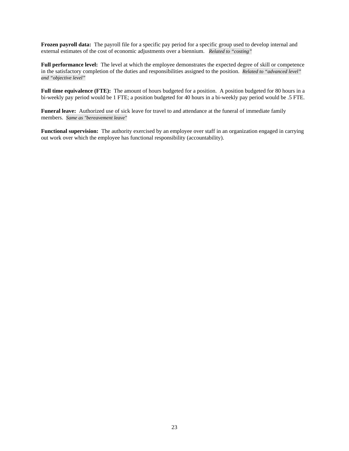**Frozen payroll data:** The payroll file for a specific pay period for a specific group used to develop internal and external estimates of the cost of economic adjustments over a biennium. *Related to "costing"*

**Full performance level:** The level at which the employee demonstrates the expected degree of skill or competence in the satisfactory completion of the duties and responsibilities assigned to the position. *Related to "advanced level" and "objective level"*

Full time equivalence (FTE): The amount of hours budgeted for a position. A position budgeted for 80 hours in a bi-weekly pay period would be 1 FTE; a position budgeted for 40 hours in a bi-weekly pay period would be .5 FTE.

**Funeral leave:** Authorized use of sick leave for travel to and attendance at the funeral of immediate family members. *Same as "bereavement leave"*

**Functional supervision:** The authority exercised by an employee over staff in an organization engaged in carrying out work over which the employee has functional responsibility (accountability).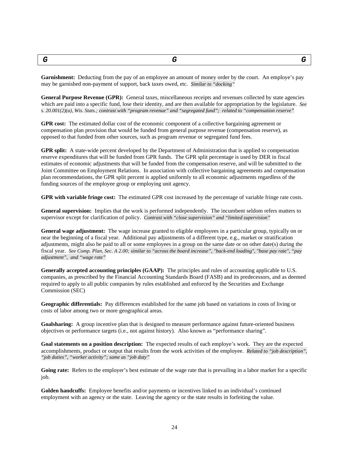<span id="page-23-0"></span>*G G G*

**Garnishment:** Deducting from the pay of an employee an amount of money order by the court. An employe's pay may be garnished non-payment of support, back taxes owed, etc. *Similar to "docking"*

**General Purpose Revenue (GPR):** General taxes, miscellaneous receipts and revenues collected by state agencies which are paid into a specific fund, lose their identity, and are then available for appropriation by the legislature. *See s. 20.001(2)(a), Wis. Stats.; contrast with "program revenue" and "segregated fund"; related to "compensation reserve"*

**GPR cost:** The estimated dollar cost of the economic component of a collective bargaining agreement or compensation plan provision that would be funded from general purpose revenue (compensation reserve), as opposed to that funded from other sources, such as program revenue or segregated fund fees.

**GPR split:** A state-wide percent developed by the Department of Administration that is applied to compensation reserve expenditures that will be funded from GPR funds. The GPR split percentage is used by DER in fiscal estimates of economic adjustments that will be funded from the compensation reserve, and will be submitted to the Joint Committee on Employment Relations. In association with collective bargaining agreements and compensation plan recommendations, the GPR split percent is applied uniformly to all economic adjustments regardless of the funding sources of the employee group or employing unit agency.

**GPR with variable fringe cost:** The estimated GPR cost increased by the percentage of variable fringe rate costs.

**General supervision:** Implies that the work is performed independently. The incumbent seldom refers matters to supervisor except for clarification of policy. *Contrast with "close supervision" and "limited supervision"*

**General wage adjustment:** The wage increase granted to eligible employees in a particular group, typically on or near the beginning of a fiscal year. Additional pay adjustments of a different type, e.g., market or stratification adjustments, might also be paid to all or some employees in a group on the same date or on other date(s) during the fiscal year. *See Comp. Plan, Sec. A 2.00; similar to "across the board increase", "back-end loading", "base pay rate", "pay adjustment", and "wage rate"*

**Generally accepted accounting principles (GAAP):** The principles and rules of accounting applicable to U.S. companies, as prescribed by the Financial Accounting Standards Board (FASB) and its predecessors, and as deemed required to apply to all public companies by rules established and enforced by the Securities and Exchange Commission (SEC)

**Geographic differentials:** Pay differences established for the same job based on variations in costs of living or costs of labor among two or more geographical areas.

**Goalsharing:** A group incentive plan that is designed to measure performance against future-oriented business objectives or performance targets (i.e., not against history). Also known as "performance sharing".

**Goal statements on a position description:** The expected results of each employe's work. They are the expected accomplishments, product or output that results from the work activities of the employee. *Related to "job description", "job duties", "worker activity"; same as "job duty"*

Going rate: Refers to the employer's best estimate of the wage rate that is prevailing in a labor market for a specific job.

**Golden handcuffs:** Employee benefits and/or payments or incentives linked to an individual's continued employment with an agency or the state. Leaving the agency or the state results in forfeiting the value.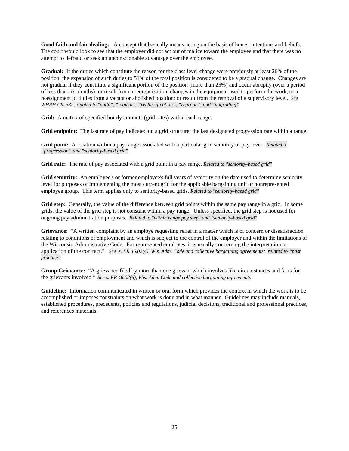**Good faith and fair dealing:** A concept that basically means acting on the basis of honest intentions and beliefs. The court would look to see that the employer did not act out of malice toward the employee and that there was no attempt to defraud or seek an unconscionable advantage over the employee.

**Gradual:** If the duties which constitute the reason for the class level change were previously at least 26% of the position, the expansion of such duties to 51% of the total position is considered to be a gradual change. Changes are not gradual if they constitute a significant portion of the position (more than 25%) and occur abruptly (over a period of less than six months); or result from a reorganization, changes in the equipment used to perform the work, or a reassignment of duties from a vacant or abolished position; or result from the removal of a supervisory level. *See WHRH Ch. 332; related to "audit", "logical", "reclassification", "regrade", and "upgrading"*

**Grid:** A matrix of specified hourly amounts (grid rates) within each range.

**Grid endpoint:** The last rate of pay indicated on a grid structure; the last designated progression rate within a range.

**Grid point:** A location within a pay range associated with a particular grid seniority or pay level. *Related to "progression" and "seniority-based grid"*

**Grid rate:** The rate of pay associated with a grid point in a pay range. *Related to "seniority-based grid"*

**Grid seniority:** An employee's or former employee's full years of seniority on the date used to determine seniority level for purposes of implementing the most current grid for the applicable bargaining unit or nonrepresented employee group. This term applies only to seniority-based grids. *Related to "seniority-based grid"*

**Grid step:** Generally, the value of the difference between grid points within the same pay range in a grid. In some grids, the value of the grid step is not constant within a pay range. Unless specified, the grid step is not used for ongoing pay administration purposes. *Related to "within range pay step" and "seniority-based grid"*

**Grievance:** "A written complaint by an employe requesting relief in a matter which is of concern or dissatisfaction relating to conditions of employment and which is subject to the control of the employer and within the limitations of the Wisconsin Administrative Code. For represented employes, it is usually concerning the interpretation or application of the contract." *See s. ER 46.02(4), Wis. Adm. Code and collective bargaining agreements; related to "past practice"*

**Group Grievance:** "A grievance filed by more than one grievant which involves like circumstances and facts for the grievants involved." *See s. ER 46.02(6), Wis. Adm. Code and collective bargaining agreements*

**Guideline:** Information communicated in written or oral form which provides the context in which the work is to be accomplished or imposes constraints on what work is done and in what manner. Guidelines may include manuals, established procedures, precedents, policies and regulations, judicial decisions, traditional and professional practices, and references materials.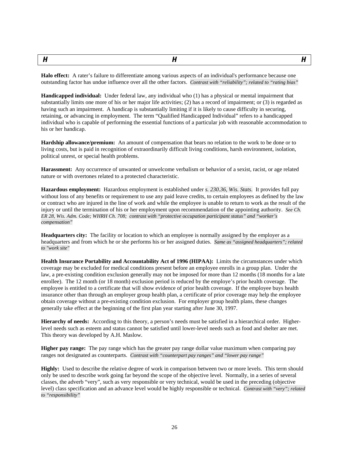<span id="page-25-0"></span>

**Halo effect:** A rater's failure to differentiate among various aspects of an individual's performance because one outstanding factor has undue influence over all the other factors. *Contrast with "reliability"; related to "rating bias"*

**Handicapped individual:** Under federal law, any individual who (1) has a physical or mental impairment that substantially limits one more of his or her major life activities; (2) has a record of impairment; or (3) is regarded as having such an impairment. A handicap is substantially limiting if it is likely to cause difficulty in securing, retaining, or advancing in employment. The term "Qualified Handicapped Individual" refers to a handicapped individual who is capable of performing the essential functions of a particular job with reasonable accommodation to his or her handicap.

**Hardship allowance/premium:** An amount of compensation that bears no relation to the work to be done or to living costs, but is paid in recognition of extraordinarily difficult living conditions, harsh environment, isolation, political unrest, or special health problems.

**Harassment:** Any occurrence of unwanted or unwelcome verbalism or behavior of a sexist, racist, or age related nature or with overtones related to a protected characteristic.

**Hazardous employment:** Hazardous employment is established under *s. 230.36, Wis. Stats.* It provides full pay without loss of any benefits or requirement to use any paid leave credits, to certain employees as defined by the law or contract who are injured in the line of work and while the employee is unable to return to work as the result of the injury or until the termination of his or her employment upon recommendation of the appointing authority. *See Ch. ER 28, Wis. Adm. Code; WHRH Ch. 708; contrast with "protective occupation participant status" and "worker's compensation"*

**Headquarters city:** The facility or location to which an employee is normally assigned by the employer as a headquarters and from which he or she performs his or her assigned duties. *Same as "assigned headquarters"; related to "work site"*

**Health Insurance Portability and Accountability Act of 1996 (HIPAA):** Limits the circumstances under which coverage may be excluded for medical conditions present before an employee enrolls in a group plan. Under the law, a pre-existing condition exclusion generally may not be imposed for more than 12 months (18 months for a late enrollee). The 12 month (or 18 month) exclusion period is reduced by the employe's prior health coverage. The employee is entitled to a certificate that will show evidence of prior health coverage. If the employee buys health insurance other than through an employer group health plan, a certificate of prior coverage may help the employee obtain coverage without a pre-existing condition exclusion. For employer group health plans, these changes generally take effect at the beginning of the first plan year starting after June 30, 1997.

**Hierarchy of needs:** According to this theory, a person's needs must be satisfied in a hierarchical order. Higherlevel needs such as esteem and status cannot be satisfied until lower-level needs such as food and shelter are met. This theory was developed by A.H. Maslow.

**Higher pay range:** The pay range which has the greater pay range dollar value maximum when comparing pay ranges not designated as counterparts. *Contrast with "counterpart pay ranges" and "lower pay range"*

**Highly:** Used to describe the relative degree of work in comparison between two or more levels. This term should only be used to describe work going far beyond the scope of the objective level. Normally, in a series of several classes, the adverb "very", such as very responsible or very technical, would be used in the preceding (objective level) class specification and an advance level would be highly responsible or technical. *Contrast with "very"; related to "responsibility"*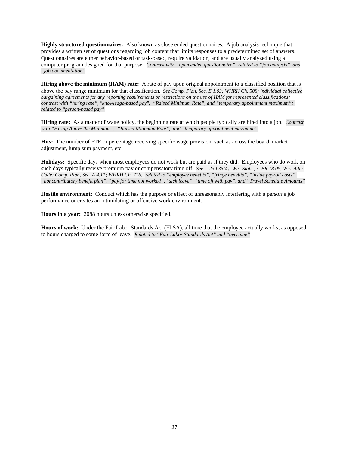**Highly structured questionnaires:** Also known as close ended questionnaires. A job analysis technique that provides a written set of questions regarding job content that limits responses to a predetermined set of answers. Questionnaires are either behavior-based or task-based, require validation, and are usually analyzed using a computer program designed for that purpose. *Contrast with "open ended questionnaire"; related to "job analysis" and "job documentation"*

**Hiring above the minimum (HAM) rate:** A rate of pay upon original appointment to a classified position that is above the pay range minimum for that classification. *See Comp. Plan, Sec. E 1.03; WHRH Ch. 508; individual collective bargaining agreements for any reporting requirements or restrictions on the use of HAM for represented classifications; contrast with "hiring rate", "knowledge-based pay", "Raised Minimum Rate", and "temporary appointment maximum"; related to "person-based pay"*

**Hiring rate:** As a matter of wage policy, the beginning rate at which people typically are hired into a job. *Contrast with "Hiring Above the Minimum", "Raised Minimum Rate", and "temporary appointment maximum"*

**Hits:** The number of FTE or percentage receiving specific wage provision, such as across the board, market adjustment, lump sum payment, etc.

**Holidays:** Specific days when most employees do not work but are paid as if they did. Employees who do work on such days typically receive premium pay or compensatory time off. *See s. 230.35(4), Wis. Stats.; s. ER 18.05, Wis. Adm. Code; Comp. Plan, Sec. A 4.11; WHRH Ch. 716; related to "employee benefits", "fringe benefits", "inside payroll costs", "noncontributory benefit plan", "pay for time not worked", "sick leave", "time off with pay", and "Travel Schedule Amounts"*

**Hostile environment:** Conduct which has the purpose or effect of unreasonably interfering with a person's job performance or creates an intimidating or offensive work environment.

**Hours in a year:** 2088 hours unless otherwise specified.

**Hours of work:** Under the Fair Labor Standards Act (FLSA), all time that the employee actually works, as opposed to hours charged to some form of leave. *Related to "Fair Labor Standards Act" and "overtime"*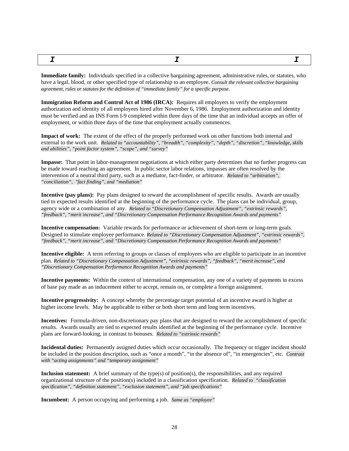<span id="page-27-0"></span>

**Immediate family:** Individuals specified in a collective bargaining agreement, administrative rules, or statutes, who have a legal, blood, or other specified type of relationship to an employee. *Consult the relevant collective bargaining agreement, rules or statutes for the definition of "immediate family" for a specific purpose.*

**Immigration Reform and Control Act of 1986 (IRCA):** Requires all employers to verify the employment authorization and identity of all employees hired after November 6, 1986. Employment authorization and identity must be verified and an INS Form I-9 completed within three days of the time that an individual accepts an offer of employment, or within three days of the time that employment actually commences.

**Impact of work:** The extent of the effect of the properly performed work on other functions both internal and external to the work unit. *Related to "accountability", "breadth", "complexity", "depth", "discretion", "knowledge, skills and abilities", "point factor system", "scope", and "survey"*

**Impasse:** That point in labor-management negotiations at which either party determines that no further progress can be made toward reaching an agreement. In public sector labor relations, impasses are often resolved by the intervention of a neutral third party, such as a mediator, fact-finder, or arbitrator. *Related to "arbitration", "conciliation", "fact finding", and "mediation"*

**Incentive (pay plans):** Pay plans designed to reward the accomplishment of specific results. Awards are usually tied to expected results identified at the beginning of the performance cycle. The plans can be individual, group, agency wide or a combination of any. *Related to "Discretionary Compensation Adjustment", "extrinsic rewards", "feedback", "merit increase", and "Discretionary Compensation Performance Recognition Awards and payments"*

**Incentive compensation:** Variable rewards for performance or achievement of short-term or long-term goals. Designed to stimulate employee performance. *Related to "Discretionary Compensation Adjustment", "extrinsic rewards", "feedback", "merit increase", and "Discretionary Compensation Performance Recognition Awards and payments"*

**Incentive eligible:** A term referring to groups or classes of employees who are eligible to participate in an incentive plan. *Related to "Discretionary Compensation Adjustment", "extrinsic rewards", "feedback", "merit increase", and "Discretionary Compensation Performance Recognition Awards and payments"*

**Incentive payments:** Within the context of international compensation, any one of a variety of payments in excess of base pay made as an inducement either to accept, remain on, or complete a foreign assignment.

**Incentive progressivity:** A concept whereby the percentage target potential of an incentive award is higher at higher income levels. May be applicable to either or both short term and long term incentives.

**Incentives:** Formula-driven, non-discretionary pay plans that are designed to reward the accomplishment of specific results. Awards usually are tied to expected results identified at the beginning of the performance cycle. Incentive plans are forward-looking, in contrast to bonuses. *Related to "extrinsic rewards"*

**Incidental duties:** Permanently assigned duties which occur occasionally. The frequency or trigger incident should be included in the position description, such as "once a month", "in the absence of", "in emergencies", etc. *Contrast with "acting assignments" and "temporary assignment"*

**Inclusion statement:** A brief summary of the type(s) of position(s), the responsibilities, and any required organizational structure of the position(s) included in a classification specification. *Related to "classification specification", "definition statement", "exclusion statement", and "job specifications"*

**Incumbent:** A person occupying and performing a job. *Same as "employee"*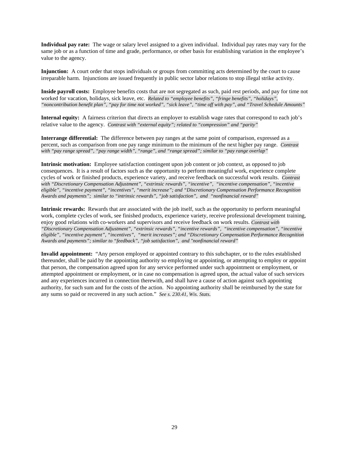**Individual pay rate:** The wage or salary level assigned to a given individual. Individual pay rates may vary for the same job or as a function of time and grade, performance, or other basis for establishing variation in the employee's value to the agency.

**Injunction:** A court order that stops individuals or groups from committing acts determined by the court to cause irreparable harm. Injunctions are issued frequently in public sector labor relations to stop illegal strike activity.

**Inside payroll costs:** Employee benefits costs that are not segregated as such, paid rest periods, and pay for time not worked for vacation, holidays, sick leave, etc. *Related to "employee benefits", "fringe benefits", "holidays", "noncontribution benefit plan", "pay for time not worked", "sick leave", "time off with pay", and "Travel Schedule Amounts"*

**Internal equity:** A fairness criterion that directs an employer to establish wage rates that correspond to each job's relative value to the agency. *Contrast with "external equity"; related to "compression" and "parity"*

**Interrange differential:** The difference between pay ranges at the same point of comparison, expressed as a percent, such as comparison from one pay range minimum to the minimum of the next higher pay range. *Contrast with "pay range spread", "pay range width", "range", and "range spread"; similar to "pay range overlap"*

**Intrinsic motivation:** Employee satisfaction contingent upon job content or job context, as opposed to job consequences. It is a result of factors such as the opportunity to perform meaningful work, experience complete cycles of work or finished products, experience variety, and receive feedback on successful work results. *Contrast with "Discretionary Compensation Adjustment", "extrinsic rewards", "incentive", "incentive compensation", "incentive eligible", "incentive payment", "incentives", "merit increase"; and "Discretionary Compensation Performance Recognition Awards and payments"; similar to "intrinsic rewards", "job satisfaction", and "nonfinancial reward"*

**Intrinsic rewards:** Rewards that are associated with the job itself, such as the opportunity to perform meaningful work, complete cycles of work, see finished products, experience variety, receive professional development training, enjoy good relations with co-workers and supervisors and receive feedback on work results. *Contrast with "Discretionary Compensation Adjustment", "extrinsic rewards", "incentive rewards", "incentive compensation", "incentive eligible", "incentive payment", "incentives", "merit increases"; and "Discretionary Compensation Performance Recognition Awards and payments"; similar to "feedback", "job satisfaction", and "nonfinancial reward"*

**Invalid appointment:** "Any person employed or appointed contrary to this subchapter, or to the rules established thereunder, shall be paid by the appointing authority so employing or appointing, or attempting to employ or appoint that person, the compensation agreed upon for any service performed under such appointment or employment, or attempted appointment or employment, or in case no compensation is agreed upon, the actual value of such services and any experiences incurred in connection therewith, and shall have a cause of action against such appointing authority, for such sum and for the costs of the action. No appointing authority shall be reimbursed by the state for any sums so paid or recovered in any such action." *See s. 230.41, Wis. Stats.*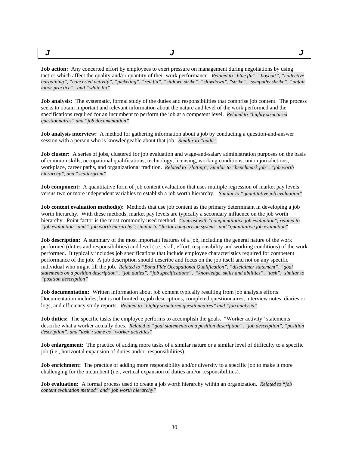<span id="page-29-0"></span>

**Job action:** Any concerted effort by employees to exert pressure on management during negotiations by using tactics which affect the quality and/or quantity of their work performance. *Related to "blue flu", "boycott", "collective bargaining", "concerted activity", "picketing", "red flu", "sitdown strike", "slowdown", "strike", "sympathy shrike", "unfair labor practice", and "white flu"*

**Job analysis:** The systematic, formal study of the duties and responsibilities that comprise job content. The process seeks to obtain important and relevant information about the nature and level of the work performed and the specifications required for an incumbent to perform the job at a competent level. *Related to "highly structured questionnaires" and "job documentation"*

**Job analysis interview:** A method for gathering information about a job by conducting a question-and-answer session with a person who is knowledgeable about that job. *Similar to "audit"*

**Job cluster:** A series of jobs, clustered for job evaluation and wage-and-salary administration purposes on the basis of common skills, occupational qualifications, technology, licensing, working conditions, union jurisdictions, workplace, career paths, and organizational tradition. *Related to "slotting"; Similar to "benchmark job", "job worth hierarchy", and "scattergram"*

**Job component:** A quantitative form of job content evaluation that uses multiple regression of market pay levels versus two or more independent variables to establish a job worth hierarchy. *Similar to "quantitative job evaluation"*

**Job content evaluation method(s):** Methods that use job content as the primary determinant in developing a job worth hierarchy. With these methods, market pay levels are typically a secondary influence on the job worth hierarchy. Point factor is the most commonly used method. *Contrast with "nonquantitative job evaluation"; related to "job evaluation" and " job worth hierarchy"; similar to "factor comparison system" and "quantitative job evaluation"*

**Job description:** A summary of the most important features of a job, including the general nature of the work performed (duties and responsibilities) and level (i.e., skill, effort, responsibility and working conditions) of the work performed. It typically includes job specifications that include employee characteristics required for competent performance of the job. A job description should describe and focus on the job itself and not on any specific individual who might fill the job. *Related to "Bona Fide Occupational Qualification", "disclaimer statement", "goal statements on a position description", "job duties", "job specifications", "knowledge, skills and abilities", "task"; similar to "position description"*

**Job documentation:** Written information about job content typically resulting from job analysis efforts. Documentation includes, but is not limited to, job descriptions, completed questionnaires, interview notes, diaries or logs, and efficiency study reports. *Related to "highly structured questionnaires" and "job analysis"*

**Job duties:** The specific tasks the employee performs to accomplish the goals. "Worker activity" statements describe what a worker actually does. *Related to "goal statements on a position description", "job description", "position description", and "task"; same as "worker activities"*

**Job enlargement:** The practice of adding more tasks of a similar nature or a similar level of difficulty to a specific job (i.e., horizontal expansion of duties and/or responsibilities).

**Job enrichment:** The practice of adding more responsibility and/or diversity to a specific job to make it more challenging for the incumbent (i.e., vertical expansion of duties and/or responsibilities).

**Job evaluation:** A formal process used to create a job worth hierarchy within an organization. *Related to "job content evaluation method" and" job worth hierarchy"*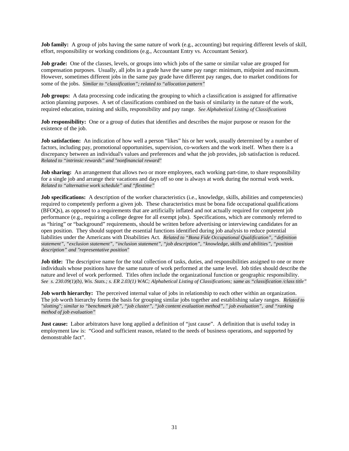**Job family:** A group of jobs having the same nature of work (e.g., accounting) but requiring different levels of skill, effort, responsibility or working conditions (e.g., Accountant Entry vs. Accountant Senior).

**Job grade:** One of the classes, levels, or groups into which jobs of the same or similar value are grouped for compensation purposes. Usually, all jobs in a grade have the same pay range: minimum, midpoint and maximum. However, sometimes different jobs in the same pay grade have different pay ranges, due to market conditions for some of the jobs. *Similar to "classification"; related to "allocation pattern"*

**Job groups:** A data processing code indicating the grouping to which a classification is assigned for affirmative action planning purposes. A set of classifications combined on the basis of similarity in the nature of the work, required education, training and skills, responsibility and pay range. *See Alphabetical Listing of Classifications*

**Job responsibility:** One or a group of duties that identifies and describes the major purpose or reason for the existence of the job.

**Job satisfaction:** An indication of how well a person "likes" his or her work, usually determined by a number of factors, including pay, promotional opportunities, supervision, co-workers and the work itself. When there is a discrepancy between an individual's values and preferences and what the job provides, job satisfaction is reduced. *Related to "intrinsic rewards" and "nonfinancial reward"*

**Job sharing:** An arrangement that allows two or more employees, each working part-time, to share responsibility for a single job and arrange their vacations and days off so one is always at work during the normal work week. *Related to "alternative work schedule" and "flextime"*

**Job specifications:** A description of the worker characteristics (i.e., knowledge, skills, abilities and competencies) required to competently perform a given job. These characteristics must be bona fide occupational qualifications (BFOQs), as opposed to a requirements that are artificially inflated and not actually required for competent job performance (e.g., requiring a college degree for all exempt jobs). Specifications, which are commonly referred to as "hiring" or "background" requirements, should be written before advertising or interviewing candidates for an open position. They should support the essential functions identified during job analysis to reduce potential liabilities under the Americans with Disabilities Act. *Related to "Bona Fide Occupational Qualification", "definition statement", "exclusion statement", "inclusion statement", "job description", "knowledge, skills and abilities", "position description" and "representative position"*

**Job title:** The descriptive name for the total collection of tasks, duties, and responsibilities assigned to one or more individuals whose positions have the same nature of work performed at the same level. Job titles should describe the nature and level of work performed. Titles often include the organizational function or geographic responsibility. *See s. 230.09(1)(b), Wis. Stats.; s. ER 2.03(1) WAC; Alphabetical Listing of Classifications; same as "classification /class title"*

**Job worth hierarchy:** The perceived internal value of jobs in relationship to each other within an organization. The job worth hierarchy forms the basis for grouping similar jobs together and establishing salary ranges. *Related to "slotting"; similar to "benchmark job", "job cluster", "job content evaluation method", " job evaluation", and "ranking method of job evaluation"*

**Just cause:** Labor arbitrators have long applied a definition of "just cause". A definition that is useful today in employment law is: "Good and sufficient reason, related to the needs of business operations, and supported by demonstrable fact".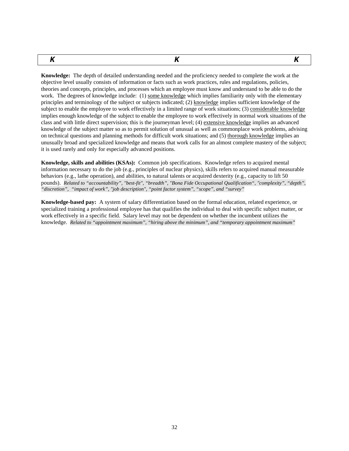<span id="page-31-0"></span>*K K K*

**Knowledge:** The depth of detailed understanding needed and the proficiency needed to complete the work at the objective level usually consists of information or facts such as work practices, rules and regulations, policies, theories and concepts, principles, and processes which an employee must know and understand to be able to do the work. The degrees of knowledge include: (1) some knowledge which implies familiarity only with the elementary principles and terminology of the subject or subjects indicated; (2) knowledge implies sufficient knowledge of the subject to enable the employee to work effectively in a limited range of work situations; (3) considerable knowledge implies enough knowledge of the subject to enable the employee to work effectively in normal work situations of the class and with little direct supervision; this is the journeyman level; (4) extensive knowledge implies an advanced knowledge of the subject matter so as to permit solution of unusual as well as commonplace work problems, advising on technical questions and planning methods for difficult work situations; and (5) thorough knowledge implies an unusually broad and specialized knowledge and means that work calls for an almost complete mastery of the subject; it is used rarely and only for especially advanced positions.

**Knowledge, skills and abilities (KSAs):** Common job specifications. Knowledge refers to acquired mental information necessary to do the job (e.g., principles of nuclear physics), skills refers to acquired manual measurable behaviors (e.g., lathe operation), and abilities, to natural talents or acquired dexterity (e.g., capacity to lift 50 pounds). *Related to "accountability", "best-fit", "breadth", "Bona Fide Occupational Qualification", "complexity", "depth", "discretion", "impact of work", "job description", "point factor system", "scope", and "survey"*

**Knowledge-based pay:** A system of salary differentiation based on the formal education, related experience, or specialized training a professional employee has that qualifies the individual to deal with specific subject matter, or work effectively in a specific field. Salary level may not be dependent on whether the incumbent utilizes the knowledge. *Related to "appointment maximum", "hiring above the minimum", and "temporary appointment maximum"*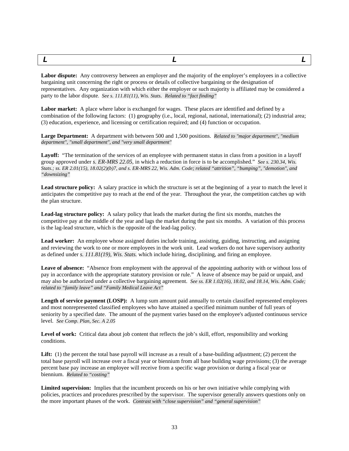<span id="page-32-0"></span>*L L L*

**Labor dispute:** Any controversy between an employer and the majority of the employer's employees in a collective bargaining unit concerning the right or process or details of collective bargaining or the designation of representatives. Any organization with which either the employer or such majority is affiliated may be considered a party to the labor dispute. *See s. 111.81(11), Wis. Stats. Related to "fact finding"*

**Labor market:** A place where labor is exchanged for wages. These places are identified and defined by a combination of the following factors: (1) geography (i.e., local, regional, national, international); (2) industrial area; (3) education, experience, and licensing or certification required; and (4) function or occupation.

**Large Department:** A department with between 500 and 1,500 positions. *Related to "major department", "medium department", "small department", and "very small department"*

**Layoff:** "The termination of the services of an employee with permanent status in class from a position in a layoff group approved under *s. ER-MRS 22.05*, in which a reduction in force is to be accomplished." *See s. 230.34, Wis. Stats.; ss. ER 2.01(15), 18.02(2)(b)7, and s. ER-MRS 22, Wis. Adm. Code; related "attrition", "bumping", "demotion", and "downsizing"*

**Lead structure policy:** A salary practice in which the structure is set at the beginning of a year to match the level it anticipates the competitive pay to reach at the end of the year. Throughout the year, the competition catches up with the plan structure.

**Lead-lag structure policy:** A salary policy that leads the market during the first six months, matches the competitive pay at the middle of the year and lags the market during the past six months. A variation of this process is the lag-lead structure, which is the opposite of the lead-lag policy.

Lead worker: An employee whose assigned duties include training, assisting, guiding, instructing, and assigning and reviewing the work to one or more employees in the work unit. Lead workers do not have supervisory authority as defined under *s. 111.81(19), Wis. Stats.* which include hiring, disciplining, and firing an employee.

**Leave of absence:** "Absence from employment with the approval of the appointing authority with or without loss of pay in accordance with the appropriate statutory provision or rule." A leave of absence may be paid or unpaid, and may also be authorized under a collective bargaining agreement. *See ss. ER 1.02(16), 18.02, and 18.14, Wis. Adm. Code; related to "family leave" and "Family Medical Leave Act"*

Length of service payment (LOSP): A lump sum amount paid annually to certain classified represented employees and most nonrepresented classified employees who have attained a specified minimum number of full years of seniority by a specified date. The amount of the payment varies based on the employee's adjusted continuous service level. *See Comp. Plan, Sec. A 2.05*

Level of work: Critical data about job content that reflects the job's skill, effort, responsibility and working conditions.

Lift: (1) the percent the total base payroll will increase as a result of a base-building adjustment; (2) percent the total base payroll will increase over a fiscal year or biennium from all base building wage provisions; (3) the average percent base pay increase an employee will receive from a specific wage provision or during a fiscal year or biennium. *Related to "costing"*

**Limited supervision:** Implies that the incumbent proceeds on his or her own initiative while complying with policies, practices and procedures prescribed by the supervisor. The supervisor generally answers questions only on the more important phases of the work. *Contrast with "close supervision" and "general supervision"*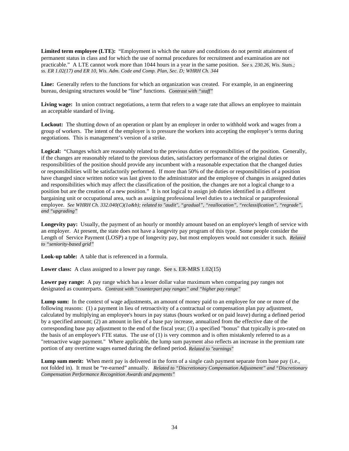**Limited term employee (LTE):** "Employment in which the nature and conditions do not permit attainment of permanent status in class and for which the use of normal procedures for recruitment and examination are not practicable." A LTE cannot work more than 1044 hours in a year in the same position. *See s. 230.26, Wis. Stats.; ss. ER 1.02(17) and ER 10, Wis. Adm. Code and Comp. Plan, Sec. D; WHRH Ch. 344*

**Line:** Generally refers to the functions for which an organization was created. For example, in an engineering bureau, designing structures would be "line" functions. *Contrast with "staff"*

**Living wage:** In union contract negotiations, a term that refers to a wage rate that allows an employee to maintain an acceptable standard of living.

**Lockout:** The shutting down of an operation or plant by an employer in order to withhold work and wages from a group of workers. The intent of the employer is to pressure the workers into accepting the employer's terms during negotiations. This is management's version of a strike.

**Logical:** "Changes which are reasonably related to the previous duties or responsibilities of the position. Generally, if the changes are reasonably related to the previous duties, satisfactory performance of the original duties or responsibilities of the position should provide any incumbent with a reasonable expectation that the changed duties or responsibilities will be satisfactorily performed. If more than 50% of the duties or responsibilities of a position have changed since written notice was last given to the administrator and the employee of changes in assigned duties and responsibilities which may affect the classification of the position, the changes are not a logical change to a position but are the creation of a new position." It is not logical to assign job duties identified in a different bargaining unit or occupational area, such as assigning professional level duties to a technical or paraprofessional employee. *See WHRH Ch. 332.040(C)(1a&b); related to "audit", "gradual", "reallocation", "reclassification", "regrade", and "upgrading"*

**Longevity pay:** Usually, the payment of an hourly or monthly amount based on an employee's length of service with an employer. At present, the state does not have a longevity pay program of this type. Some people consider the Length of Service Payment (LOSP) a type of longevity pay, but most employers would not consider it such. *Related to "seniority-based grid"*

**Look-up table:** A table that is referenced in a formula.

**Lower class:** A class assigned to a lower pay range. See s. ER-MRS 1.02(15)

**Lower pay range:** A pay range which has a lesser dollar value maximum when comparing pay ranges not designated as counterparts. *Contrast with "counterpart pay ranges" and "higher pay range"*

**Lump sum:** In the context of wage adjustments, an amount of money paid to an employee for one or more of the following reasons: (1) a payment in lieu of retroactivity of a contractual or compensation plan pay adjustment, calculated by multiplying an employee's hours in pay status (hours worked or on paid leave) during a defined period by a specified amount; (2) an amount in lieu of a base pay increase, annualized from the effective date of the corresponding base pay adjustment to the end of the fiscal year; (3) a specified "bonus" that typically is pro-rated on the basis of an employee's FTE status. The use of (1) is very common and is often mistakenly referred to as a "retroactive wage payment." Where applicable, the lump sum payment also reflects an increase in the premium rate portion of any overtime wages earned during the defined period. *Related to "earnings"*

**Lump sum merit:** When merit pay is delivered in the form of a single cash payment separate from base pay (i.e., not folded in). It must be "re-earned" annually. *Related to "Discretionary Compensation Adjustment" and "Discretionary Compensation Performance Recognition Awards and payments"*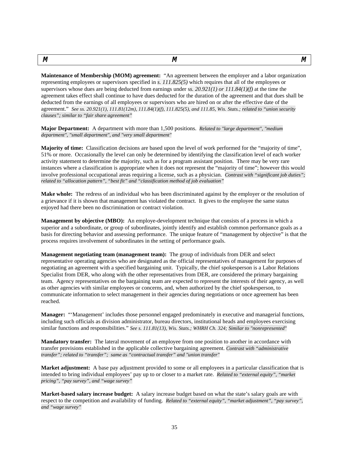<span id="page-34-0"></span>*M M M*

**Maintenance of Membership (MOM) agreement:** "An agreement between the employer and a labor organization representing employees or supervisors specified in *s. 111.825(5)* which requires that all of the employees or supervisors whose dues are being deducted from earnings under s*s. 20.921(1) or 111.84(1)(f)* at the time the agreement takes effect shall continue to have dues deducted for the duration of the agreement and that dues shall be deducted from the earnings of all employees or supervisors who are hired on or after the effective date of the agreement." *See ss. 20.921(1), 111.81(12m), 111.84(1)(f), 111.825(5), and 111.85, Wis. Stats.; related to "union security clauses"; similar to "fair share agreement"*

**Major Department:** A department with more than 1,500 positions. *Related to "large department", "medium department", "small department", and "very small department"*

**Majority of time:** Classification decisions are based upon the level of work performed for the "majority of time", 51% or more. Occasionally the level can only be determined by identifying the classification level of each worker activity statement to determine the majority, such as for a program assistant position. There may be very rare instances where a classification is appropriate when it does not represent the "majority of time"; however this would involve professional occupational areas requiring a license, such as a physician. *Contrast with "significant job duties"; related to "allocation pattern", "best fit" and "classification method of job evaluation"*

**Make whole:** The redress of an individual who has been discriminated against by the employer or the resolution of a grievance if it is shown that management has violated the contract. It gives to the employee the same status enjoyed had there been no discrimination or contract violation.

**Management by objective (MBO):** An employe-development technique that consists of a process in which a superior and a subordinate, or group of subordinates, jointly identify and establish common performance goals as a basis for directing behavior and assessing performance. The unique feature of "management by objective" is that the process requires involvement of subordinates in the setting of performance goals.

**Management negotiating team (management team):** The group of individuals from DER and select representative operating agencies who are designated as the official representatives of management for purposes of negotiating an agreement with a specified bargaining unit. Typically, the chief spokesperson is a Labor Relations Specialist from DER, who along with the other representatives from DER, are considered the primary bargaining team. Agency representatives on the bargaining team are expected to represent the interests of their agency, as well as other agencies with similar employees or concerns, and, when authorized by the chief spokesperson, to communicate information to select management in their agencies during negotiations or once agreement has been reached.

**Manager:** "'Management' includes those personnel engaged predominately in executive and managerial functions, including such officials as division administrator, bureau directors, institutional heads and employees exercising similar functions and responsibilities." *See s. 111.81(13), Wis. Stats.; WHRH Ch. 324; Similar to "nonrepresented"*

**Mandatory transfer:** The lateral movement of an employee from one position to another in accordance with transfer provisions established in the applicable collective bargaining agreement. *Contrast with "administrative transfer"; related to "transfer"; same as "contractual transfer" and "union transfer"*

**Market adjustment:** A base pay adjustment provided to some or all employees in a particular classification that is intended to bring individual employees' pay up to or closer to a market rate. *Related to "external equity", "market pricing", "pay survey", and "wage survey"*

**Market-based salary increase budget:** A salary increase budget based on what the state's salary goals are with respect to the competition and availability of funding. *Related to "external equity", "market adjustment", "pay survey", and "wage survey"*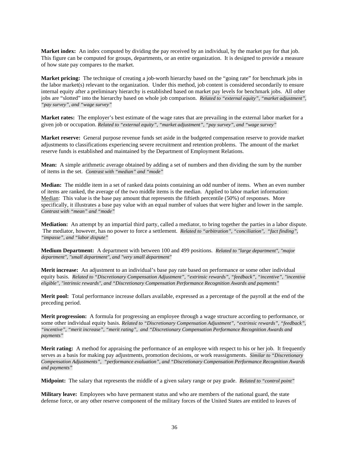**Market index:** An index computed by dividing the pay received by an individual, by the market pay for that job. This figure can be computed for groups, departments, or an entire organization. It is designed to provide a measure of how state pay compares to the market.

**Market pricing:** The technique of creating a job-worth hierarchy based on the "going rate" for benchmark jobs in the labor market(s) relevant to the organization. Under this method, job content is considered secondarily to ensure internal equity after a preliminary hierarchy is established based on market pay levels for benchmark jobs. All other jobs are "slotted" into the hierarchy based on whole job comparison. *Related to "external equity", "market adjustment", "pay survey", and "wage survey"*

**Market rates:** The employer's best estimate of the wage rates that are prevailing in the external labor market for a given job or occupation. *Related to "external equity", "market adjustment", "pay survey", and "wage survey"*

**Market reserve:** General purpose revenue funds set aside in the budgeted compensation reserve to provide market adjustments to classifications experiencing severe recruitment and retention problems. The amount of the market reserve funds is established and maintained by the Department of Employment Relations.

**Mean:** A simple arithmetic average obtained by adding a set of numbers and then dividing the sum by the number of items in the set. *Contrast with "median" and "mode"*

**Median:** The middle item in a set of ranked data points containing an odd number of items. When an even number of items are ranked, the average of the two middle items is the median. Applied to labor market information: Median: This value is the base pay amount that represents the fiftieth percentile (50%) of responses. More specifically, it illustrates a base pay value with an equal number of values that were higher and lower in the sample. *Contrast with "mean" and "mode"*

**Mediation:** An attempt by an impartial third party, called a mediator, to bring together the parties in a labor dispute. The mediator, however, has no power to force a settlement. *Related to "arbitration", "conciliation", "fact finding", "impasse", and "labor dispute"*

**Medium Department:** A department with between 100 and 499 positions. *Related to "large department", "major department", "small department", and "very small department"*

**Merit increase:** An adjustment to an individual's base pay rate based on performance or some other individual equity basis. *Related to "Discretionary Compensation Adjustment", "extrinsic rewards", "feedback", "incentive", "incentive eligible", "intrinsic rewards", and "Discretionary Compensation Performance Recognition Awards and payments"*

**Merit pool:** Total performance increase dollars available, expressed as a percentage of the payroll at the end of the preceding period.

**Merit progression:** A formula for progressing an employee through a wage structure according to performance, or some other individual equity basis. *Related to "Discretionary Compensation Adjustment", "extrinsic rewards", "feedback", "incentive", "merit increase", "merit rating", and "Discretionary Compensation Performance Recognition Awards and payments"*

**Merit rating:** A method for appraising the performance of an employee with respect to his or her job. It frequently serves as a basis for making pay adjustments, promotion decisions, or work reassignments. *Similar to "Discretionary Compensation Adjustments", "performance evaluation", and "Discretionary Compensation Performance Recognition Awards and payments"*

**Midpoint:** The salary that represents the middle of a given salary range or pay grade. *Related to "control point"*

**Military leave:** Employees who have permanent status and who are members of the national guard, the state defense force, or any other reserve component of the military forces of the United States are entitled to leaves of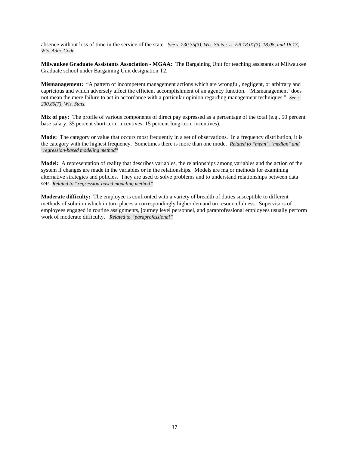absence without loss of time in the service of the state. *See s. 230.35(3), Wis. Stats.; ss. ER 18.01(3), 18.08, and 18.13, Wis. Adm. Code*

**Milwaukee Graduate Assistants Association - MGAA:** The Bargaining Unit for teaching assistants at Milwaukee Graduate school under Bargaining Unit designation T2.

**Mismanagement:** "A pattern of incompetent management actions which are wrongful, negligent, or arbitrary and capricious and which adversely affect the efficient accomplishment of an agency function. 'Mismanagement' does not mean the mere failure to act in accordance with a particular opinion regarding management techniques." *See s. 230.80(7), Wis. Stats.*

**Mix of pay:** The profile of various components of direct pay expressed as a percentage of the total (e.g., 50 percent base salary, 35 percent short-term incentives, 15 percent long-term incentives).

**Mode:** The category or value that occurs most frequently in a set of observations. In a frequency distribution, it is the category with the highest frequency. Sometimes there is more than one mode. *Related to "mean", "median" and "regression-based modeling method"*

**Model:** A representation of reality that describes variables, the relationships among variables and the action of the system if changes are made in the variables or in the relationships. Models are major methods for examining alternative strategies and policies. They are used to solve problems and to understand relationships between data sets. *Related to "regression-based modeling method"*

**Moderate difficulty:** The employee is confronted with a variety of breadth of duties susceptible to different methods of solution which in turn places a correspondingly higher demand on resourcefulness. Supervisors of employees engaged in routine assignments, journey level personnel, and paraprofessional employees usually perform work of moderate difficulty. *Related to "paraprofessional"*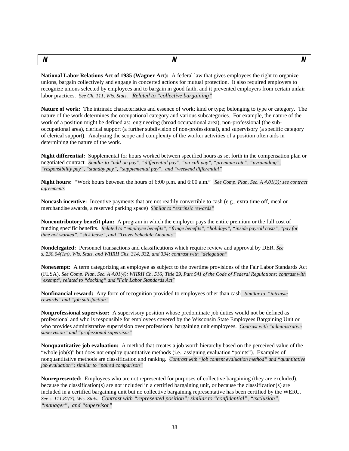<span id="page-37-0"></span>*N N N*

**National Labor Relations Act of 1935 (Wagner Act):** A federal law that gives employees the right to organize unions, bargain collectively and engage in concerted actions for mutual protection. It also required employers to recognize unions selected by employees and to bargain in good faith, and it prevented employers from certain unfair labor practices. *See Ch. 111, Wis. Stats. Related to "collective bargaining"*

**Nature of work:** The intrinsic characteristics and essence of work; kind or type; belonging to type or category. The nature of the work determines the occupational category and various subcategories. For example, the nature of the work of a position might be defined as: engineering (broad occupational area), non-professional (the suboccupational area), clerical support (a further subdivision of non-professional), and supervisory (a specific category of clerical support). Analyzing the scope and complexity of the worker activities of a position often aids in determining the nature of the work.

**Night differential:** Supplemental for hours worked between specified hours as set forth in the compensation plan or negotiated contract*. Similar to "add-on pay", "differential pay", "on-call pay", "premium rate", "pyramiding", "responsibility pay", "standby pay", "supplemental pay", and "weekend differential"*

**Night hours:** "Work hours between the hours of 6:00 p.m. and 6:00 a.m." *See Comp. Plan, Sec. A 4.01(3); see contract agreements*

**Noncash incentive:** Incentive payments that are not readily convertible to cash (e.g., extra time off, meal or merchandise awards, a reserved parking space) *Similar to "extrinsic rewards"*

**Noncontributory benefit plan:** A program in which the employer pays the entire premium or the full cost of funding specific benefits. *Related to "employee benefits", "fringe benefits", "holidays", "inside payroll costs", "pay for time not worked", "sick leave", and "Travel Schedule Amounts"*

**Nondelegated:** Personnel transactions and classifications which require review and approval by DER. *See s. 230.04(1m), Wis. Stats. and WHRH Chs. 314, 332, and 334; contrast with "delegation"*

**Nonexempt:** A term categorizing an employee as subject to the overtime provisions of the Fair Labor Standards Act (FLSA). *See Comp. Plan, Sec. A 4.01(4); WHRH Ch. 516; Title 29, Part 541 of the Code of Federal Regulations; contrast with "exempt"; related to "docking" and "Fair Labor Standards Act"*

**Nonfinancial reward:** Any form of recognition provided to employees other than cash*. Similar to "intrinsic rewards" and "job satisfaction"*

**Nonprofessional supervisor:** A supervisory position whose predominate job duties would not be defined as professional and who is responsible for employees covered by the Wisconsin State Employees Bargaining Unit or who provides administrative supervision over professional bargaining unit employees. *Contrast with "administrative supervision" and "professional supervisor"*

**Nonquantitative job evaluation:** A method that creates a job worth hierarchy based on the perceived value of the "whole job(s)" but does not employ quantitative methods (i.e., assigning evaluation "points"). Examples of nonquantitative methods are classification and ranking. *Contrast with "job content evaluation method" and "quantitative job evaluation"; similar to "paired comparison"*

**Nonrepresented:** Employees who are not represented for purposes of collective bargaining (they are excluded), because the classification(s) are not included in a certified bargaining unit, or because the classification(s) are included in a certified bargaining unit but no collective bargaining representative has been certified by the WERC. *See s. 111.81(7), Wis. Stats. Contrast with "represented position"; similar to "confidential", "exclusion", "manager", and "supervisor"*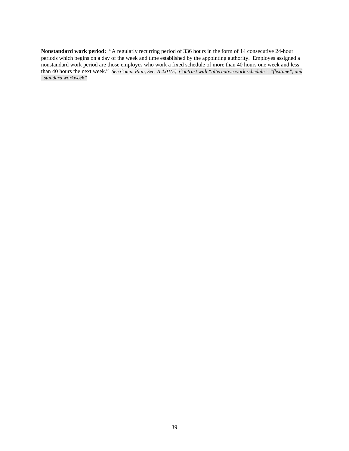**Nonstandard work period:** "A regularly recurring period of 336 hours in the form of 14 consecutive 24-hour periods which begins on a day of the week and time established by the appointing authority. Employes assigned a nonstandard work period are those employes who work a fixed schedule of more than 40 hours one week and less than 40 hours the next week." *See Comp. Plan, Sec. A 4.01(5) Contrast with "alternative work schedule", "flextime", and "standard workweek"*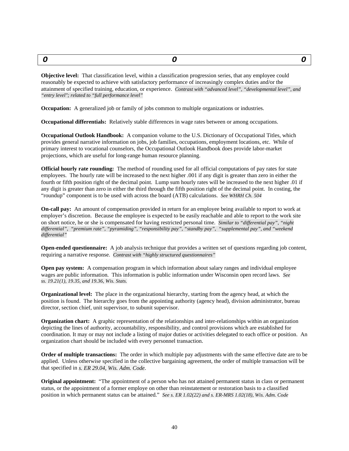<span id="page-39-0"></span>*O O O*

**Objective level:** That classification level, within a classification progression series, that any employee could reasonably be expected to achieve with satisfactory performance of increasingly complex duties and/or the attainment of specified training, education, or experience. *Contrast with "advanced level", "developmental level", and "entry level"; related to "full performance level"*

**Occupation:** A generalized job or family of jobs common to multiple organizations or industries.

**Occupational differentials:** Relatively stable differences in wage rates between or among occupations.

**Occupational Outlook Handbook:** A companion volume to the U.S. Dictionary of Occupational Titles, which provides general narrative information on jobs, job families, occupations, employment locations, etc. While of primary interest to vocational counselors, the Occupational Outlook Handbook does provide labor-market projections, which are useful for long-range human resource planning.

**Official hourly rate rounding:** The method of rounding used for all official computations of pay rates for state employees. The hourly rate will be increased to the next higher .001 if any digit is greater than zero in either the fourth or fifth position right of the decimal point. Lump sum hourly rates will be increased to the next higher .01 if any digit is greater than zero in either the third through the fifth position right of the decimal point. In costing, the "roundup" component is to be used with across the board (ATB) calculations. *See WHRH Ch. 504*

**On-call pay:** An amount of compensation provided in return for an employee being available to report to work at employer's discretion. Because the employee is expected to be easily reachable and able to report to the work site on short notice, he or she is compensated for having restricted personal time. *Similar to "differential pay", "night differential", "premium rate", "pyramiding", "responsibility pay", "standby pay", "supplemental pay", and "weekend differential"*

**Open-ended questionnaire:** A job analysis technique that provides a written set of questions regarding job content, requiring a narrative response. *Contrast with "highly structured questionnaires"*

**Open pay system:** A compensation program in which information about salary ranges and individual employee wages are public information. This information is public information under Wisconsin open record laws. *See ss. 19.21(1), 19.35, and 19.36, Wis. Stats.*

**Organizational level:** The place in the organizational hierarchy, starting from the agency head, at which the position is found. The hierarchy goes from the appointing authority (agency head), division administrator, bureau director, section chief, unit supervisor, to subunit supervisor.

**Organization chart:** A graphic representation of the relationships and inter-relationships within an organization depicting the lines of authority, accountability, responsibility, and control provisions which are established for coordination. It may or may not include a listing of major duties or activities delegated to each office or position. An organization chart should be included with every personnel transaction.

**Order of multiple transactions:** The order in which multiple pay adjustments with the same effective date are to be applied. Unless otherwise specified in the collective bargaining agreement, the order of multiple transaction will be that specified in *s. ER 29.04, Wis. Adm. Code*.

**Original appointment:** "The appointment of a person who has not attained permanent status in class or permanent status, or the appointment of a former employe on other than reinstatement or restoration basis to a classified position in which permanent status can be attained." *See s. ER 1.02(22) and s. ER-MRS 1.02(18), Wis. Adm. Code*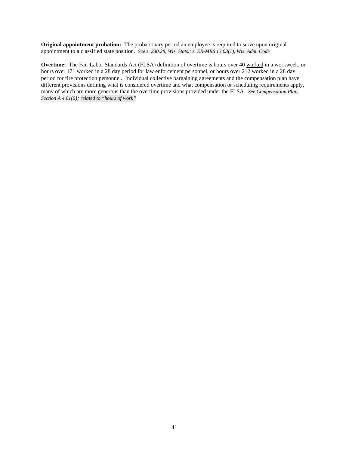**Original appointment probation:** The probationary period an employee is required to serve upon original appointment to a classified state position. *See s. 230.28, Wis. Stats.; s. ER-MRS 13.03(1), Wis. Adm. Code*

**Overtime:** The Fair Labor Standards Act (FLSA) definition of overtime is hours over 40 worked in a workweek, or hours over 171 worked in a 28 day period for law enforcement personnel, or hours over 212 worked in a 28 day period for fire protection personnel. Individual collective bargaining agreements and the compensation plan have different provisions defining what is considered overtime and what compensation or scheduling requirements apply, many of which are more generous than the overtime provisions provided under the FLSA. *See Compensation Plan, Section A 4.01(6); related to "hours of work"*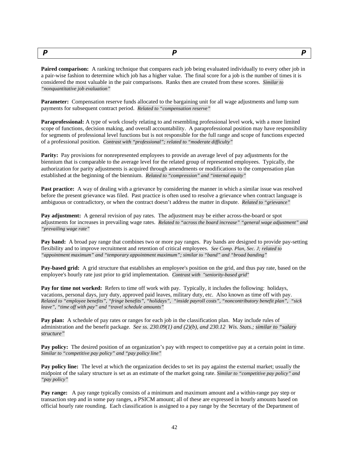<span id="page-41-0"></span>*P P P*

**Paired comparison:** A ranking technique that compares each job being evaluated individually to every other job in a pair-wise fashion to determine which job has a higher value. The final score for a job is the number of times it is considered the most valuable in the pair comparisons. Ranks then are created from these scores. *Similar to "nonquantitative job evaluation"*

**Parameter:** Compensation reserve funds allocated to the bargaining unit for all wage adjustments and lump sum payments for subsequent contract period. *Related to "compensation reserve"*

**Paraprofessional:** A type of work closely relating to and resembling professional level work, with a more limited scope of functions, decision making, and overall accountability. A paraprofessional position may have responsibility for segments of professional level functions but is not responsible for the full range and scope of functions expected of a professional position. *Contrast with "professional"; related to "moderate difficulty"*

**Parity:** Pay provisions for nonrepresented employees to provide an average level of pay adjustments for the biennium that is comparable to the average level for the related group of represented employees. Typically, the authorization for parity adjustments is acquired through amendments or modifications to the compensation plan established at the beginning of the biennium. *Related to "compression" and "internal equity"*

**Past practice:** A way of dealing with a grievance by considering the manner in which a similar issue was resolved before the present grievance was filed. Past practice is often used to resolve a grievance when contract language is ambiguous or contradictory, or when the contract doesn't address the matter in dispute. *Related to "grievance"*

**Pay adjustment:** A general revision of pay rates. The adjustment may be either across-the-board or spot adjustments for increases in prevailing wage rates. *Related to "across the board increase" "general wage adjustment" and "prevailing wage rate"*

**Pay band:** A broad pay range that combines two or more pay ranges. Pay bands are designed to provide pay-setting flexibility and to improve recruitment and retention of critical employees. *See Comp. Plan, Sec. J; related to "appointment maximum" and "temporary appointment maximum"; similar to "band" and "broad banding"*

**Pay-based grid:** A grid structure that establishes an employee's position on the grid, and thus pay rate, based on the employee's hourly rate just prior to grid implementation. *Contrast with "seniority-based grid"*

**Pay for time not worked:** Refers to time off work with pay. Typically, it includes the following: holidays, vacations, personal days, jury duty, approved paid leaves, military duty, etc. Also known as time off with pay. *Related to "employee benefits", "fringe benefits", "holidays", "inside payroll costs", "noncontributory benefit plan", "sick leave", "time off with pay" and "travel schedule amounts"*

**Pay plan:** A schedule of pay rates or ranges for each job in the classification plan. May include rules of administration and the benefit package. *See ss. 230.09(1) and (2)(b), and 230.12 Wis. Stats.; similar to "salary structure"*

**Pay policy:** The desired position of an organization's pay with respect to competitive pay at a certain point in time. *Similar to "competitive pay policy" and "pay policy line"*

**Pay policy line:** The level at which the organization decides to set its pay against the external market; usually the midpoint of the salary structure is set as an estimate of the market going rate. *Similar to "competitive pay policy" and "pay policy"*

**Pay range:** A pay range typically consists of a minimum and maximum amount and a within-range pay step or transaction step and in some pay ranges, a PSICM amount; all of these are expressed in hourly amounts based on official hourly rate rounding. Each classification is assigned to a pay range by the Secretary of the Department of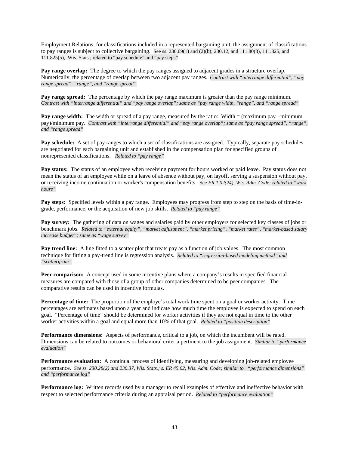Employment Relations; for classifications included in a represented bargaining unit, the assignment of classifications to pay ranges is subject to collective bargaining. See ss. 230.09(1) and (2)(b); 230.12, and 111.80(3), 111.825, and 111.825(5), Wis. Stats.; related to "pay schedule" and "pay steps"

**Pay range overlap:** The degree to which the pay ranges assigned to adjacent grades in a structure overlap. Numerically, the percentage of overlap between two adjacent pay ranges*. Contrast with "interrange differential", "pay range spread", "range", and "range spread"*

**Pay range spread:** The percentage by which the pay range maximum is greater than the pay range minimum. *Contrast with "interrange differential" and "pay range overlap"; same as "pay range width, "range", and "range spread"*

**Pay range width:** The width or spread of a pay range, measured by the ratio: Width = (maximum pay—minimum pay)/minimum pay. *Contrast with "interrange differential" and "pay range overlap"; same as "pay range spread", "range", and "range spread"*

**Pay schedule:** A set of pay ranges to which a set of classifications are assigned. Typically, separate pay schedules are negotiated for each bargaining unit and established in the compensation plan for specified groups of nonrepresented classifications. *Related to "pay range"*

**Pay status:** The status of an employee when receiving payment for hours worked or paid leave. Pay status does not mean the status of an employee while on a leave of absence without pay, on layoff, serving a suspension without pay, or receiving income continuation or worker's compensation benefits. See *ER 1.02(24), Wis. Adm. Code; related to "work hours"*

**Pay steps:** Specified levels within a pay range. Employees may progress from step to step on the basis of time-ingrade, performance, or the acquisition of new job skills. *Related to "pay range"*

Pay survey: The gathering of data on wages and salaries paid by other employers for selected key classes of jobs or benchmark jobs. *Related to "external equity", "market adjustment", "market pricing", "market rates", "market-based salary increase budget"; same as "wage survey"*

**Pay trend line:** A line fitted to a scatter plot that treats pay as a function of job values. The most common technique for fitting a pay-trend line is regression analysis. *Related to "regression-based modeling method" and "scattergram"*

**Peer comparison:** A concept used in some incentive plans where a company's results in specified financial measures are compared with those of a group of other companies determined to be peer companies. The comparative results can be used in incentive formulas.

**Percentage of time:** The proportion of the employe's total work time spent on a goal or worker activity. Time percentages are estimates based upon a year and indicate how much time the employee is expected to spend on each goal. "Percentage of time" should be determined for worker activities if they are not equal in time to the other worker activities within a goal and equal more than 10% of that goal. *Related to "position description"*

**Performance dimensions:** Aspects of performance, critical to a job, on which the incumbent will be rated. Dimensions can be related to outcomes or behavioral criteria pertinent to the job assignment. *Similar to "performance evaluation"*

**Performance evaluation:** A continual process of identifying, measuring and developing job-related employee performance. *See ss. 230.28(2) and 230.37, Wis. Stats.; s. ER 45.02, Wis. Adm. Code; similar to "performance dimensions" and "performance log"*

**Performance log:** Written records used by a manager to recall examples of effective and ineffective behavior with respect to selected performance criteria during an appraisal period. *Related to "performance evaluation"*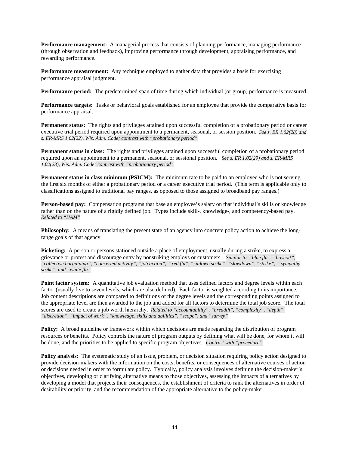**Performance management:** A managerial process that consists of planning performance, managing performance (through observation and feedback), improving performance through development, appraising performance, and rewarding performance.

**Performance measurement:** Any technique employed to gather data that provides a basis for exercising performance appraisal judgment.

**Performance period:** The predetermined span of time during which individual (or group) performance is measured.

**Performance targets:** Tasks or behavioral goals established for an employee that provide the comparative basis for performance appraisal.

**Permanent status:** The rights and privileges attained upon successful completion of a probationary period or career executive trial period required upon appointment to a permanent, seasonal, or session position. *See s. ER 1.02(28) and s. ER-MRS 1.02(22), Wis. Adm. Code; contrast with "probationary period"*

**Permanent status in class:** The rights and privileges attained upon successful completion of a probationary period required upon an appointment to a permanent, seasonal, or sessional position. *See s. ER 1.02(29) and s. ER-MRS 1.02(23), Wis. Adm. Code; contrast with "probationary period"*

**Permanent status in class minimum (PSICM):** The minimum rate to be paid to an employee who is not serving the first six months of either a probationary period or a career executive trial period. (This term is applicable only to classifications assigned to traditional pay ranges, as opposed to those assigned to broadband pay ranges.)

**Person-based pay:** Compensation programs that base an employee's salary on that individual's skills or knowledge rather than on the nature of a rigidly defined job. Types include skill-, knowledge-, and competency-based pay. *Related to "HAM"*

**Philosophy:** A means of translating the present state of an agency into concrete policy action to achieve the longrange goals of that agency.

**Picketing:** A person or persons stationed outside a place of employment, usually during a strike, to express a grievance or protest and discourage entry by nonstriking employs or customers. *Similar to "blue flu", "boycott", "collective bargaining", "concerted activity", "job action", "red flu", "sitdown strike", "slowdown", "strike", "sympathy strike", and "white flu"*

**Point factor system:** A quantitative job evaluation method that uses defined factors and degree levels within each factor (usually five to seven levels, which are also defined). Each factor is weighted according to its importance. Job content descriptions are compared to definitions of the degree levels and the corresponding points assigned to the appropriate level are then awarded to the job and added for all factors to determine the total job score. The total scores are used to create a job worth hierarchy. *Related to "accountability", "breadth", "complexity", "depth", "discretion", "impact of work", "knowledge, skills and abilities", "scope", and "survey"*

**Policy:** A broad guideline or framework within which decisions are made regarding the distribution of program resources or benefits. Policy controls the nature of program outputs by defining what will be done, for whom it will be done, and the priorities to be applied to specific program objectives. *Contrast with "procedure"*

**Policy analysis:** The systematic study of an issue, problem, or decision situation requiring policy action designed to provide decision-makers with the information on the costs, benefits, or consequences of alternative courses of action or decisions needed in order to formulate policy. Typically, policy analysis involves defining the decision-maker's objectives, developing or clarifying alternative means to those objectives, assessing the impacts of alternatives by developing a model that projects their consequences, the establishment of criteria to rank the alternatives in order of desirability or priority, and the recommendation of the appropriate alternative to the policy-maker.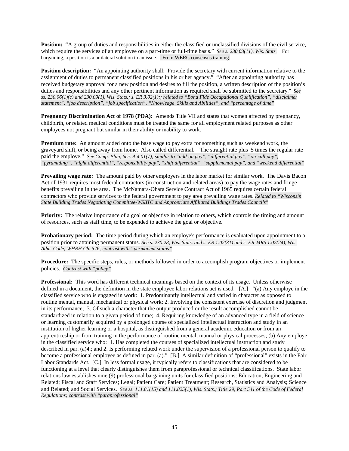**Position:** "A group of duties and responsibilities in either the classified or unclassified divisions of the civil service, which require the services of an employee on a part-time or full-time basis." *See s. 230.03(11), Wis. Stats.* For bargaining, a position is a unilateral solution to an issue. From WERC consensus training.

**Position description:** "An appointing authority shall: Provide the secretary with current information relative to the assignment of duties to permanent classified positions in his or her agency." "After an appointing authority has received budgetary approval for a new position and desires to fill the position, a written description of the position's duties and responsibilities and any other pertinent information as required shall be submitted to the secretary." *See ss. 230.06(1)(c) and 230.09(1), Wis. Stats.; s. ER 3.02(1);; related to "Bona Fide Occupational Qualification", "disclaimer statement", "job description", "job specification", "Knowledge Skills and Abilities", and "percentage of time"*

**Pregnancy Discrimination Act of 1978 (PDA):** Amends Title VII and states that women affected by pregnancy, childbirth, or related medical conditions must be treated the same for all employment related purposes as other employees not pregnant but similar in their ability or inability to work.

**Premium rate:** An amount added onto the base wage to pay extra for something such as weekend work, the graveyard shift, or being away from home. Also called differential. "The straight rate plus .5 times the regular rate paid the employe." *See Comp. Plan, Sec. A 4.01(7); similar to "add-on pay", "differential pay", "on-call pay", "pyramiding", "night differential", "responsibility pay", "shift differential", "supplemental pay", and "weekend differential"*

**Prevailing wage rate:** The amount paid by other employers in the labor market for similar work. The Davis Bacon Act of 1931 requires most federal contractors (in construction and related areas) to pay the wage rates and fringe benefits prevailing in the area. The McNamara-Ohara Service Contract Act of 1965 requires certain federal contractors who provide services to the federal government to pay area prevailing wage rates. *Related to "Wisconsin State Building Trades Negotiating Committee-WSBTC and Appropriate Affiliated Buildings Trades Councils"*

**Priority:** The relative importance of a goal or objective in relation to others, which controls the timing and amount of resources, such as staff time, to be expended to achieve the goal or objective.

**Probationary period:** The time period during which an employe's performance is evaluated upon appointment to a position prior to attaining permanent status. *See s. 230.28, Wis. Stats. and s. ER 1.02(31) and s. ER-MRS 1.02(24), Wis. Adm. Code; WHRH Ch. 576; contrast with "permanent status"*

**Procedure:** The specific steps, rules, or methods followed in order to accomplish program objectives or implement policies. *Contrast with "policy"*

**Professional:** This word has different technical meanings based on the context of its usage. Unless otherwise defined in a document, the definition in the state employee labor relations act is used. [A.] "(a) Any employe in the classified service who is engaged in work: 1. Predominantly intellectual and varied in character as opposed to routine mental, manual, mechanical or physical work; 2. Involving the consistent exercise of discretion and judgment in its performance; 3. Of such a character that the output produced or the result accomplished cannot be standardized in relation to a given period of time; 4. Requiring knowledge of an advanced type in a field of science or learning customarily acquired by a prolonged course of specialized intellectual instruction and study in an institution of higher learning or a hospital, as distinguished from a general academic education or from an apprenticeship or from training in the performance of routine mental, manual or physical processes; (b) Any employe in the classified service who: 1. Has completed the courses of specialized intellectual instruction and study described in par. (a)4.; and 2. Is performing related work under the supervision of a professional person to qualify to become a professional employee as defined in par. (a)." [B.] A similar definition of "professional" exists in the Fair Labor Standards Act. [C.] In less formal usage, it typically refers to classifications that are considered to be functioning at a level that clearly distinguishes them from paraprofessional or technical classifications. State labor relations law establishes nine (9) professional bargaining units for classified positions: Education; Engineering and Related; Fiscal and Staff Services; Legal; Patient Care; Patient Treatment; Research, Statistics and Analysis; Science and Related; and Social Services. *See ss. 111.81(15) and 111.825(1), Wis. Stats.; Title 29, Part 541 of the Code of Federal Regulations; contrast with "paraprofessional"*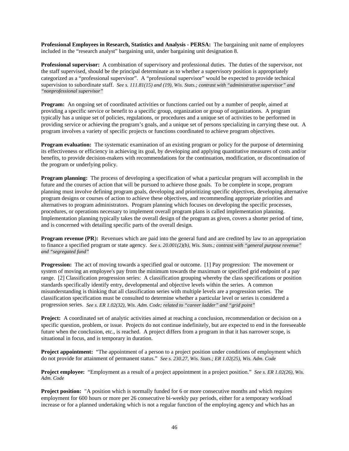**Professional Employees in Research, Statistics and Analysis - PERSA:** The bargaining unit name of employees included in the "research analyst" bargaining unit, under bargaining unit designation 8.

**Professional supervisor:** A combination of supervisory and professional duties. The duties of the supervisor, not the staff supervised, should be the principal determinate as to whether a supervisory position is appropriately categorized as a "professional supervisor". A "professional supervisor" would be expected to provide technical supervision to subordinate staff. *See s. 111.81(15) and (19), Wis. Stats.; contrast with "administrative supervisor" and "nonprofessional supervisor"*

**Program:** An ongoing set of coordinated activities or functions carried out by a number of people, aimed at providing a specific service or benefit to a specific group, organization or group of organizations. A program typically has a unique set of policies, regulations, or procedures and a unique set of activities to be performed in providing service or achieving the program's goals, and a unique set of persons specializing in carrying these out. A program involves a variety of specific projects or functions coordinated to achieve program objectives.

**Program evaluation:** The systematic examination of an existing program or policy for the purpose of determining its effectiveness or efficiency in achieving its goal, by developing and applying quantitative measures of costs and/or benefits, to provide decision-makers with recommendations for the continuation, modification, or discontinuation of the program or underlying policy.

**Program planning:** The process of developing a specification of what a particular program will accomplish in the future and the courses of action that will be pursued to achieve those goals. To be complete in scope, program planning must involve defining program goals, developing and prioritizing specific objectives, developing alternative program designs or courses of action to achieve these objectives, and recommending appropriate priorities and alternatives to program administrators. Program planning which focuses on developing the specific processes, procedures, or operations necessary to implement overall program plans is called implementation planning. Implementation planning typically takes the overall design of the program as given, covers a shorter period of time, and is concerned with detailing specific parts of the overall design.

**Program revenue (PR):** Revenues which are paid into the general fund and are credited by law to an appropriation to finance a specified program or state agency. *See s. 20.001(2)(b), Wis. Stats.; contrast with "general purpose revenue" and "segregated fund"*

**Progression:** The act of moving towards a specified goal or outcome. [1] Pay progression: The movement or system of moving an employee's pay from the minimum towards the maximum or specified grid endpoint of a pay range. [2] Classification progression series: A classification grouping whereby the class specifications or position standards specifically identify entry, developmental and objective levels within the series. A common misunderstanding is thinking that all classification series with multiple levels are a progression series. The classification specification must be consulted to determine whether a particular level or series is considered a progression series. *See s. ER 1.02(32), Wis. Adm. Code; related to "career ladder" and "grid point"*

**Project:** A coordinated set of analytic activities aimed at reaching a conclusion, recommendation or decision on a specific question, problem, or issue. Projects do not continue indefinitely, but are expected to end in the foreseeable future when the conclusion, etc., is reached. A project differs from a program in that it has narrower scope, is situational in focus, and is temporary in duration.

**Project appointment:** "The appointment of a person to a project position under conditions of employment which do not provide for attainment of permanent status." *See s. 230.27, Wis. Stats.; ER 1.02(25), Wis. Adm. Code*

**Project employee:** "Employment as a result of a project appointment in a project position." *See s. ER 1.02(26), Wis. Adm. Code*

**Project position:** "A position which is normally funded for 6 or more consecutive months and which requires employment for 600 hours or more per 26 consecutive bi-weekly pay periods, either for a temporary workload increase or for a planned undertaking which is not a regular function of the employing agency and which has an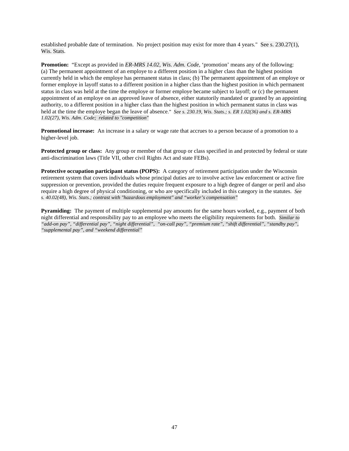established probable date of termination. No project position may exist for more than 4 years." See s. 230.27(1), Wis. Stats.

**Promotion:** "Except as provided in *ER-MRS 14.02, Wis. Adm. Code*, 'promotion' means any of the following: (a) The permanent appointment of an employe to a different position in a higher class than the highest position currently held in which the employe has permanent status in class; (b) The permanent appointment of an employe or former employe in layoff status to a different position in a higher class than the highest position in which permanent status in class was held at the time the employe or former employe became subject to layoff; or (c) the permanent appointment of an employe on an approved leave of absence, either statutorily mandated or granted by an appointing authority, to a different position in a higher class than the highest position in which permanent status in class was held at the time the employe began the leave of absence." *See s. 230.19, Wis. Stats.; s. ER 1.02(36) and s. ER-MRS 1.02(27), Wis. Adm. Code; related to "competition"*

**Promotional increase:** An increase in a salary or wage rate that accrues to a person because of a promotion to a higher-level job.

**Protected group or class:** Any group or member of that group or class specified in and protected by federal or state anti-discrimination laws (Title VII, other civil Rights Act and state FEBs).

**Protective occupation participant status (POPS):** A category of retirement participation under the Wisconsin retirement system that covers individuals whose principal duties are to involve active law enforcement or active fire suppression or prevention, provided the duties require frequent exposure to a high degree of danger or peril and also require a high degree of physical conditioning, or who are specifically included in this category in the statutes. *See s. 40.02(48), Wis. Stats.; contrast with "hazardous employment" and "worker's compensation"*

**Pyramiding:** The payment of multiple supplemental pay amounts for the same hours worked, e.g., payment of both night differential and responsibility pay to an employee who meets the eligibility requirements for both. *Similar to "add-on pay", "differential pay", "night differential", "on-call pay", "premium rate", "shift differential", "standby pay", "supplemental pay", and "weekend differential"*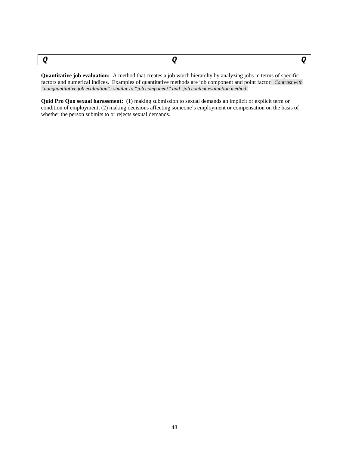<span id="page-47-0"></span>

**Quantitative job evaluation:** A method that creates a job worth hierarchy by analyzing jobs in terms of specific factors and numerical indices. Examples of quantitative methods are job component and point factor*. Contrast with "nonquantitative job evaluation"; similar to "job component" and "job content evaluation method"*

**Quid Pro Quo sexual harassment:** (1) making submission to sexual demands an implicit or explicit term or condition of employment; (2) making decisions affecting someone's employment or compensation on the basis of whether the person submits to or rejects sexual demands.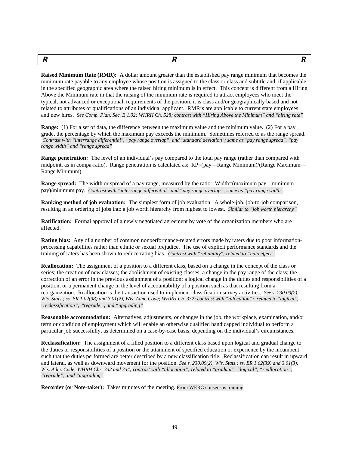<span id="page-48-0"></span>

*R R R*

**Raised Minimum Rate (RMR):** A dollar amount greater than the established pay range minimum that becomes the minimum rate payable to any employee whose position is assigned to the class or class and subtitle and, if applicable, in the specified geographic area where the raised hiring minimum is in effect. This concept is different from a Hiring Above the Minimum rate in that the raising of the minimum rate is required to attract employees who meet the typical, not advanced or exceptional, requirements of the position, it is class and/or geographically based and not related to attributes or qualifications of an individual applicant. RMR's are applicable to current state employees and new hires. *See Comp. Plan, Sec. E 1.02; WHRH Ch. 528; contrast with "Hiring Above the Minimum" and "hiring rate"*

**Range:** (1) For a set of data, the difference between the maximum value and the minimum value. (2) For a pay grade, the percentage by which the maximum pay exceeds the minimum. Sometimes referred to as the range spread. *Contrast with "interrange differential", "pay range overlap", and "standard deviation"; same as "pay range spread", "pay range width" and "range spread"*

**Range penetration:** The level of an individual's pay compared to the total pay range (rather than compared with midpoint, as in compa-ratio). Range penetration is calculated as: RP=(pay—Range Minimum)/(Range Maximum— Range Minimum).

**Range spread:** The width or spread of a pay range, measured by the ratio: Width=(maximum pay—minimum pay)/minimum pay. *Contrast with "interrange differential" and "pay range overlap"; same as "pay range width"*

**Ranking method of job evaluation:** The simplest form of job evaluation. A whole-job, job-to-job comparison, resulting in an ordering of jobs into a job worth hierarchy from highest to lowest. *Similar to "job worth hierarchy"*

**Ratification:** Formal approval of a newly negotiated agreement by vote of the organization members who are affected.

**Rating bias:** Any of a number of common nonperformance-related errors made by raters due to poor informationprocessing capabilities rather than ethnic or sexual prejudice. The use of explicit performance standards and the training of raters has been shown to reduce rating bias. *Contrast with "reliability"; related to "halo effect"*

**Reallocation:** The assignment of a position to a different class, based on a change in the concept of the class or series; the creation of new classes; the abolishment of existing classes; a change in the pay range of the class; the correction of an error in the previous assignment of a position; a logical change in the duties and responsibilities of a position; or a permanent change in the level of accountability of a position such as that resulting from a reorganization. Reallocation is the transaction used to implement classification survey activities. *See s. 230.09(2), Wis. Stats.; ss. ER 1.02(38) and 3.01(2), Wis. Adm. Code; WHRH Ch. 332; contrast with "allocation"; related to "logical", "reclassification", "regrade" , and "upgrading"*

**Reasonable accommodation:** Alternatives, adjustments, or changes in the job, the workplace, examination, and/or term or condition of employment which will enable an otherwise qualified handicapped individual to perform a particular job successfully, as determined on a case-by-case basis, depending on the individual's circumstances.

**Reclassification:** The assignment of a filled position to a different class based upon logical and gradual change to the duties or responsibilities of a position or the attainment of specified education or experience by the incumbent such that the duties performed are better described by a new classification title. Reclassification can result in upward and lateral, as well as downward movement for the position. *See s. 230.09(2), Wis. Stats.; ss. ER 1.02(39) and 3.01(3), Wis. Adm. Code; WHRH Chs. 332 and 334; contrast with "allocation"; related to "gradual", "logical", "reallocation", "regrade", and "upgrading"*

**Recorder (or Note-taker):** Takes minutes of the meeting. From WERC consensus training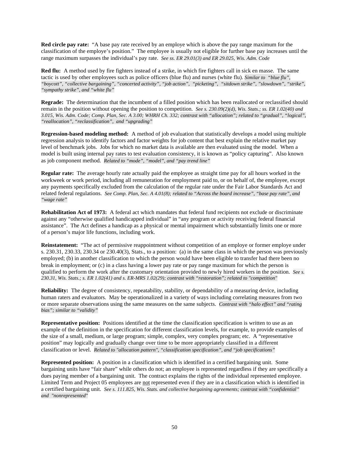**Red circle pay rate:** "A base pay rate received by an employe which is above the pay range maximum for the classification of the employe's position." The employee is usually not eligible for further base pay increases until the range maximum surpasses the individual's pay rate. *See ss. ER 29.01(3) and ER 29.025, Wis. Adm. Code*

**Red flu:** A method used by fire fighters instead of a strike, in which fire fighters call in sick en masse. The same tactic is used by other employees such as police officers (blue flu) and nurses (white flu). *Similar to "blue flu", "boycott", "collective bargaining", "concerted activity", "job action", "picketing", "sitdown strike", "slowdown", "strike", "sympathy strike", and "white flu"*

**Regrade:** The determination that the incumbent of a filled position which has been reallocated or reclassified should remain in the position without opening the position to competition. *See s. 230.09(2)(d), Wis. Stats.; ss. ER 1.02(40) and 3.015, Wis. Adm. Code; Comp. Plan, Sec. A 3.00; WHRH Ch. 332; contrast with "allocation"; related to "gradual", "logical", "reallocation", "reclassification", and "upgrading"*

**Regression-based modeling method:** A method of job evaluation that statistically develops a model using multiple regression analysis to identify factors and factor weights for job content that best explain the relative market pay level of benchmark jobs. Jobs for which no market data is available are then evaluated using the model. When a model is built using internal pay rates to test evaluation consistency, it is known as "policy capturing". Also known as job component method. *Related to "mode", "model", and "pay trend line"*

**Regular rate:** The average hourly rate actually paid the employee as straight time pay for all hours worked in the workweek or work period, including all remuneration for employment paid to, or on behalf of, the employee, except any payments specifically excluded from the calculation of the regular rate under the Fair Labor Standards Act and related federal regulations. *See Comp. Plan, Sec. A 4.01(8); related to "Across the board increase", "base pay rate", and "wage rate"*

**Rehabilitation Act of 1973:** A federal act which mandates that federal fund recipients not exclude or discriminate against any "otherwise qualified handicapped individual" in "any program or activity receiving federal financial assistance". The Act defines a handicap as a physical or mental impairment which substantially limits one or more of a person's major life functions, including work.

**Reinstatement:** "The act of permissive reappointment without competition of an employe or former employe under s. 230.31, 230.33, 230.34 or 230.40(3), Stats., to a position: (a) in the same class in which the person was previously employed; (b) in another classification to which the person would have been eligible to transfer had there been no break in employment; or (c) in a class having a lower pay rate or pay range maximum for which the person is qualified to perform the work after the customary orientation provided to newly hired workers in the position. *See s. 230.31, Wis. Stats.; s. ER 1.02(41) and s. ER-MRS 1.02(29); contrast with "restoration"; related to "competition"*

**Reliability:** The degree of consistency, repeatability, stability, or dependability of a measuring device, including human raters and evaluators. May be operationalized in a variety of ways including correlating measures from two or more separate observations using the same measures on the same subjects. *Contrast with "halo effect" and "rating bias"; similar to "validity"*

**Representative position:** Positions identified at the time the classification specification is written to use as an example of the definition in the specification for different classification levels, for example, to provide examples of the size of a small, medium, or large program; simple, complex, very complex program; etc. A "representative position" may logically and gradually change over time to be more appropriately classified in a different classification or level. *Related to "allocation pattern", "classification specification", and "job specifications"*

**Represented position:** A position in a classification which is identified in a certified bargaining unit. Some bargaining units have "fair share" while others do not; an employee is represented regardless if they are specifically a dues paying member of a bargaining unit. The contract explains the rights of the individual represented employee. Limited Term and Project 05 employees are not represented even if they are in a classification which is identified in a certified bargaining unit. *See s. 111.825, Wis. Stats. and collective bargaining agreements; contrast with "confidential" and "nonrepresented"*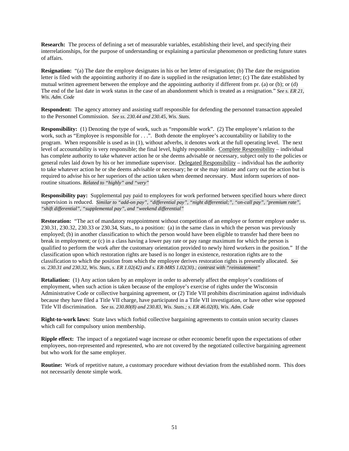**Research:** The process of defining a set of measurable variables, establishing their level, and specifying their interrelationships, for the purpose of understanding or explaining a particular phenomenon or predicting future states of affairs.

**Resignation:** "(a) The date the employe designates in his or her letter of resignation; (b) The date the resignation letter is filed with the appointing authority if no date is supplied in the resignation letter; (c) The date established by mutual written agreement between the employe and the appointing authority if different from pr. (a) or (b); or (d) The end of the last date in work status in the case of an abandonment which is treated as a resignation." *See s. ER 21, Wis. Adm. Code*

**Respondent:** The agency attorney and assisting staff responsible for defending the personnel transaction appealed to the Personnel Commission. *See ss. 230.44 and 230.45, Wis. Stats.*

**Responsibility:** (1) Denoting the type of work, such as "responsible work". (2) The employee's relation to the work, such as "Employee is responsible for . . .". Both denote the employee's accountability or liability to the program. When responsible is used as in (1), without adverbs, it denotes work at the full operating level. The next level of accountability is very responsible; the final level, highly responsible. Complete Responsibility – individual has complete authority to take whatever action he or she deems advisable or necessary, subject only to the policies or general rules laid down by his or her immediate supervisor. Delegated Responsibility – individual has the authority to take whatever action he or she deems advisable or necessary; he or she may initiate and carry out the action but is required to advise his or her superiors of the action taken when deemed necessary. Must inform superiors of nonroutine situations. *Related to "highly" and "very"*

**Responsibility pay:** Supplemental pay paid to employees for work performed between specified hours where direct supervision is reduced. *Similar to "add-on pay", "differential pay", "night differential;", "on-call pay", "premium rate", "shift differential", "supplemental pay", and "weekend differential"*

**Restoration:** "The act of mandatory reappointment without competition of an employe or former employe under ss. 230.31, 230.32, 230.33 or 230.34, Stats., to a position: (a) in the same class in which the person was previously employed; (b) in another classification to which the person would have been eligible to transfer had there been no break in employment; or (c) in a class having a lower pay rate or pay range maximum for which the person is qualified to perform the work after the customary orientation provided to newly hired workers in the position." If the classification upon which restoration rights are based is no longer in existence, restoration rights are to the classification to which the position from which the employee derives restoration rights is presently allocated. *See ss. 230.31 and 230.32, Wis. Stats, s. ER 1.02(42) and s. ER-MRS 1.02(30).; contrast with "reinstatement"*

**Retaliation:** (1) Any action taken by an employer in order to adversely affect the employe's conditions of employment, when such action is taken because of the employe's exercise of rights under the Wisconsin Administrative Code or collective bargaining agreement, or (2) Title VII prohibits discrimination against individuals because they have filed a Title VII charge, have participated in a Title VII investigation, or have other wise opposed Title VII discrimination. *See ss. 230.80(8) and 230.83, Wis. Stats.; s. ER 46.02(8), Wis. Adm. Code*

**Right-to-work laws:** State laws which forbid collective bargaining agreements to contain union security clauses which call for compulsory union membership.

**Ripple effect:** The impact of a negotiated wage increase or other economic benefit upon the expectations of other employees, non-represented and represented, who are not covered by the negotiated collective bargaining agreement but who work for the same employer.

**Routine:** Work of repetitive nature, a customary procedure without deviation from the established norm. This does not necessarily denote simple work.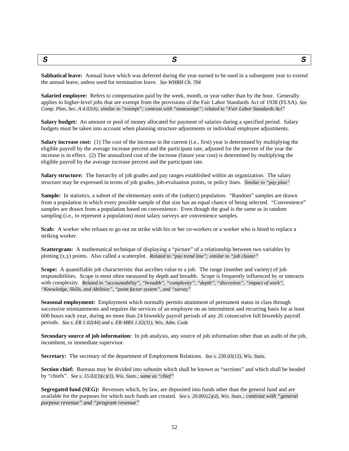<span id="page-51-0"></span>*S S S*

**Sabbatical leave:** Annual leave which was deferred during the year earned to be used in a subsequent year to extend the annual leave, unless used for termination leave. *See WHRH Ch. 704*

**Salaried employee:** Refers to compensation paid by the week, month, or year rather than by the hour. Generally applies to higher-level jobs that are exempt from the provisions of the Fair Labor Standards Act of 1938 (FLSA). *See Comp. Plan, Sec. A 4.02(4); similar to "exempt"; contrast with "nonexempt"; related to "Fair Labor Standards Act"*

**Salary budget:** An amount or pool of money allocated for payment of salaries during a specified period. Salary budgets must be taken into account when planning structure adjustments or individual employee adjustments.

**Salary increase cost:** (1) The cost of the increase in the current (i.e., first) year is determined by multiplying the eligible payroll by the average increase percent and the participant rate, adjusted for the percent of the year the increase is in effect. (2) The annualized cost of the increase (future year cost) is determined by multiplying the eligible payroll by the average increase percent and the participant rate.

**Salary structure:** The hierarchy of job grades and pay ranges established within an organization. The salary structure may be expressed in terms of job grades, job-evaluation points, or policy lines. *Similar to "pay plan"*

**Sample:** In statistics, a subset of the elementary units of the (subject) population. "Random" samples are drawn from a population in which every possible sample of that size has an equal chance of being selected. "Convenience" samples are drawn from a population based on convenience. Even though the goal is the same as in random sampling (i.e., to represent a population) most salary surveys are convenience samples.

**Scab:** A worker who refuses to go out on strike with his or her co-workers or a worker who is hired to replace a striking worker.

**Scattergram:** A mathematical technique of displaying a "picture" of a relationship between two variables by plotting (x,y) points. Also called a scatterplot. *Related to "pay trend line"; similar to "job cluster"*

**Scope:** A quantifiable job characteristic that ascribes value to a job. The range (number and variety) of job responsibilities. Scope is most often measured by depth and breadth. Scope is frequently influenced by or interacts with complexity. *Related to "accountability", "breadth", "complexity", "depth", "discretion", "impact of work", "Knowledge, Skills, and Abilities", "point factor system", and "survey"*

**Seasonal employment:** Employment which normally permits attainment of permanent status in class through successive reinstatements and requires the services of an employee on an intermittent and recurring basis for at least 600 hours each year, during no more than 24 biweekly payroll periods of any 26 consecutive full biweekly payroll periods. *See s. ER 1.02(44) and s. ER-MRS 1.02(31), Wis. Adm. Code*

**Secondary source of job information:** In job analysis, any source of job information other than an audit of the job, incumbent, or immediate supervisor.

**Secretary:** The secretary of the department of Employment Relations. *See s. 230.03(13), Wis. Stats.*

**Section chief:** Bureaus may be divided into subunits which shall be known as "sections" and which shall be headed by "chiefs". *See s. 15.02(3)(c)(3), Wis. Stats.; same as "chief"*

**Segregated fund (SEG):** Revenues which, by law, are deposited into funds other than the general fund and are available for the purposes for which such funds are created. *See s. 20.001(2)(d), Wis. Stats.; contrast with "general purpose revenue" and "program revenue"*

52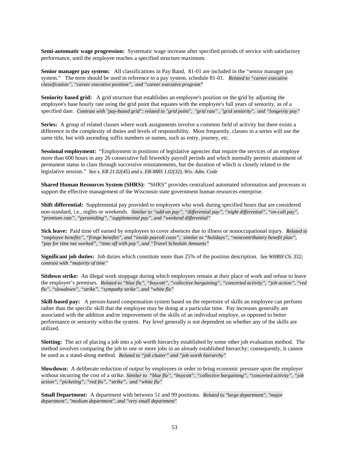**Semi-automatic wage progression:** Systematic wage increase after specified periods of service with satisfactory performance, until the employee reaches a specified structure maximum.

**Senior manager pay system:** All classifications in Pay Band, 81-01 are included in the "senior manager pay system." The term should be used in reference to a pay system, schedule 81-01. *Related to "career executive classification", "career executive position", and "career executive program"*

**Seniority based grid:** A grid structure that establishes an employee's position on the grid by adjusting the employee's base hourly rate using the grid point that equates with the employee's full years of seniority, as of a specified date. *Contrast with "pay-based grid"; related to "grid point", "grid rate" , "grid seniority", and "longevity pay"*

**Series:** A group of related classes where work assignments involve a common field of activity but there exists a difference in the complexity of duties and levels of responsibility. Most frequently, classes in a series will use the same title, but with ascending suffix numbers or names, such as entry, journey, etc.

**Sessional employment:** "Employment in positions of legislative agencies that require the services of an employe more than 600 hours in any 26 consecutive full biweekly payroll periods and which normally permits attainment of permanent status in class through successive reinstatements, but the duration of which is closely related to the legislative session." *See s. ER 21.02(45) and s. ER-MRS 1.02(32), Wis. Adm. Code*

**Shared Human Resources System (SHRS):** "SHRS" provides centralized automated information and processes to support the effective management of the Wisconsin state government human resources enterprise.

**Shift differential:** Supplemental pay provided to employees who work during specified hours that are considered non-standard, i.e., nights or weekends. *Similar to "add-on pay", "differential pay", "night differential", "on-call pay", "premium rate", "pyramiding", "supplemental pay", and "weekend differential"*

**Sick leave:** Paid time off earned by employees to cover absences due to illness or nonoccupational injury. *Related to "employee benefits", "fringe benefits", and "inside payroll costs"; similar to "holidays", "noncontributory benefit plan", "pay for time not worked", "time off with pay", and "Travel Schedule Amounts"*

**Significant job duties:** Job duties which constitute more than 25% of the position description. *See WHRH Ch. 332; contrast with "majority of time"*

**Sitdown strike:** An illegal work stoppage during which employees remain at their place of work and refuse to leave the employer's premises. *Related to "blue flu", "boycott", "collective bargaining", "concerted activity", "job action", "red flu", "slowdown", "strike", "sympathy strike", and "white flu"*

**Skill-based pay:** A person-based compensation system based on the repertoire of skills an employee can perform rather than the specific skill that the employee may be doing at a particular time. Pay increases generally are associated with the addition and/or improvement of the skills of an individual employe, as opposed to better performance or seniority within the system. Pay level generally is not dependent on whether any of the skills are utilized.

**Slotting:** The act of placing a job into a job worth hierarchy established by some other job evaluation method. The method involves comparing the job to one or more jobs in an already established hierarchy; consequently, it cannot be used as a stand-along method. *Related to "job cluster" and "job worth hierarchy"*

**Slowdown:** A deliberate reduction of output by employees in order to bring economic pressure upon the employer without incurring the cost of a strike. *Similar to "blue flu", "boycott", "collective bargaining", "concerted activity", "job action", "picketing", "red flu", "strike", and "white flu"*

**Small Department:** A department with between 51 and 99 positions. *Related to "large department", "major department", "medium department", and "very small department"*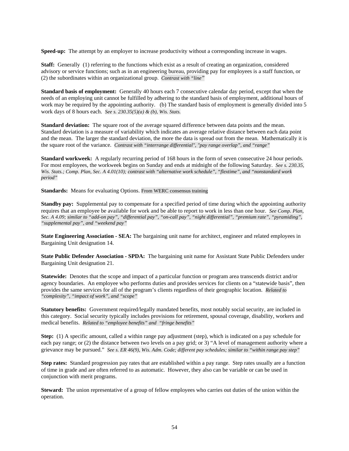**Speed-up:** The attempt by an employer to increase productivity without a corresponding increase in wages.

**Staff:** Generally (1) referring to the functions which exist as a result of creating an organization, considered advisory or service functions; such as in an engineering bureau, providing pay for employees is a staff function, or (2) the subordinates within an organizational group. *Contrast with "line"*

**Standard basis of employment:** Generally 40 hours each 7 consecutive calendar day period, except that when the needs of an employing unit cannot be fulfilled by adhering to the standard basis of employment, additional hours of work may be required by the appointing authority. (b) The standard basis of employment is generally divided into 5 work days of 8 hours each. *See s. 230.35(5)(a) & (b), Wis. Stats.*

**Standard deviation:** The square root of the average squared difference between data points and the mean. Standard deviation is a measure of variability which indicates an average relative distance between each data point and the mean. The larger the standard deviation, the more the data is spread out from the mean. Mathematically it is the square root of the variance. *Contrast with "interrange differential", "pay range overlap", and "range"*

**Standard workweek:** A regularly recurring period of 168 hours in the form of seven consecutive 24 hour periods. For most employees, the workweek begins on Sunday and ends at midnight of the following Saturday. *See s. 230.35, Wis. Stats.; Comp. Plan, Sec. A 4.01(10); contrast with "alternative work schedule", "flextime", and "nonstandard work period"*

**Standards:** Means for evaluating Options. From WERC consensus training

**Standby pay:** Supplemental pay to compensate for a specified period of time during which the appointing authority requires that an employee be available for work and be able to report to work in less than one hour. *See Comp. Plan, Sec. A 4.09; similar to "add-on pay", "differential pay", "on-call pay", "night differential", "premium rate", "pyramiding", "supplemental pay", and "weekend pay"*

**State Engineering Association - SEA:** The bargaining unit name for architect, engineer and related employees in Bargaining Unit designation 14.

**State Public Defender Association - SPDA:** The bargaining unit name for Assistant State Public Defenders under Bargaining Unit designation 21.

**Statewide:** Denotes that the scope and impact of a particular function or program area transcends district and/or agency boundaries. An employee who performs duties and provides services for clients on a "statewide basis", then provides the same services for all of the program's clients regardless of their geographic location. *Related to "complexity", "impact of work", and "scope"*

**Statutory benefits:** Government required/legally mandated benefits, most notably social security, are included in this category. Social security typically includes provisions for retirement, spousal coverage, disability, workers and medical benefits. *Related to "employee benefits" and "fringe benefits"*

**Step:** (1) A specific amount, called a within range pay adjustment (step), which is indicated on a pay schedule for each pay range; or (2) the distance between two levels on a pay grid; or 3) "A level of management authority where a grievance may be pursued." *See s. ER 46(9), Wis. Adm. Code; different pay schedules; similar to "within range pay step"*

**Step rates:** Standard progression pay rates that are established within a pay range. Step rates usually are a function of time in grade and are often referred to as automatic. However, they also can be variable or can be used in conjunction with merit programs.

**Steward:** The union representative of a group of fellow employees who carries out duties of the union within the operation.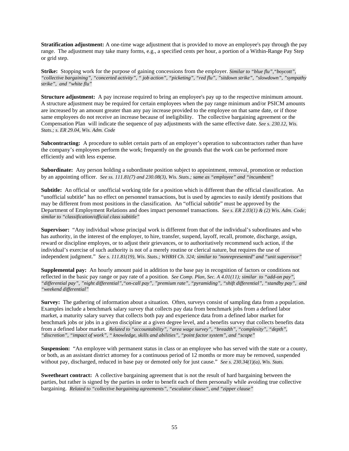**Stratification adjustment:** A one-time wage adjustment that is provided to move an employee's pay through the pay range. The adjustment may take many forms, e.g., a specified cents per hour, a portion of a Within-Range Pay Step or grid step.

**Strike:** Stopping work for the purpose of gaining concessions from the employer. *Similar to "blue flu","boycott", "collective bargaining", "concerted activity", " job action", "picketing", "red flu", "sitdown strike", "slowdown", "sympathy strike", and "white flu"*

**Structure adjustment:** A pay increase required to bring an employee's pay up to the respective minimum amount. A structure adjustment may be required for certain employees when the pay range minimum and/or PSICM amounts are increased by an amount greater than any pay increase provided to the employee on that same date, or if those same employees do not receive an increase because of ineligibility. The collective bargaining agreement or the Compensation Plan will indicate the sequence of pay adjustments with the same effective date. *See s. 230.12, Wis. Stats.; s. ER 29.04, Wis. Adm. Code*

**Subcontracting:** A procedure to sublet certain parts of an employer's operation to subcontractors rather than have the company's employees perform the work; frequently on the grounds that the work can be performed more efficiently and with less expense.

**Subordinate:** Any person holding a subordinate position subject to appointment, removal, promotion or reduction by an appointing officer. *See ss. 111.81(7) and 230.08(3), Wis. Stats.; same as "employee" and "incumbent"*

**Subtitle:** An official or unofficial working title for a position which is different than the official classification. An "unofficial subtitle" has no effect on personnel transactions, but is used by agencies to easily identify positions that may be different from most positions in the classification. An "official subtitle" must be approved by the Department of Employment Relations and does impact personnel transactions. *See s. ER 2.03(1) & (2) Wis. Adm. Code; similar to "classification/official class subtitle"*

**Supervisor:** "Any individual whose principal work is different from that of the individual's subordinates and who has authority, in the interest of the employer, to hire, transfer, suspend, layoff, recall, promote, discharge, assign, reward or discipline employes, or to adjust their grievances, or to authoritatively recommend such action, if the individual's exercise of such authority is not of a merely routine or clerical nature, but requires the use of independent judgment." *See s. 111.81(19), Wis. Stats.; WHRH Ch. 324; similar to "nonrepresented" and "unit supervisor"*

**Supplemental pay:** An hourly amount paid in addition to the base pay in recognition of factors or conditions not reflected in the basic pay range or pay rate of a position. *See Comp. Plan, Sec. A 4.01(11); similar to "add-on pay", "differential pay", "night differential","on-call pay", "premium rate", "pyramiding", "shift differential", "standby pay", and "weekend differential"*

**Survey:** The gathering of information about a situation. Often, surveys consist of sampling data from a population. Examples include a benchmark salary survey that collects pay data from benchmark jobs from a defined labor market, a maturity salary survey that collects both pay and experience data from a defined labor market for benchmark jobs or jobs in a given discipline at a given degree level, and a benefits survey that collects benefits data from a defined labor market. *Related to "accountability", "area wage survey", "breadth", "complexity", "depth", "discretion", "impact of work", " knowledge, skills and abilities", "point factor system", and "scope"*

**Suspension:** "An employee with permanent status in class or an employee who has served with the state or a county, or both, as an assistant district attorney for a continuous period of 12 months or more may be removed, suspended without pay, discharged, reduced in base pay or demoted only for just cause." *See s. 230.34(1)(a), Wis. Stats.*

**Sweetheart contract:** A collective bargaining agreement that is not the result of hard bargaining between the parties, but rather is signed by the parties in order to benefit each of them personally while avoiding true collective bargaining. *Related to "collective bargaining agreements", "escalator clause", and "zipper clause"*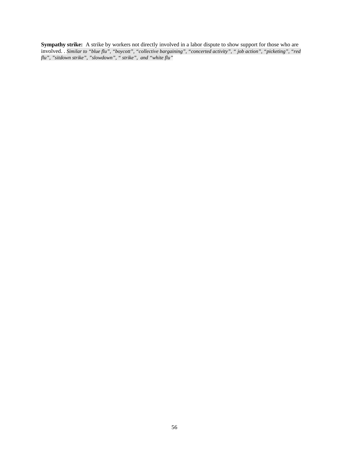**Sympathy strike:** A strike by workers not directly involved in a labor dispute to show support for those who are involved. . *Similar to "blue flu", "boycott", "collective bargaining", "concerted activity", " job action", "picketing", "red flu", "sitdown strike", "slowdown", " strike", and "white flu"*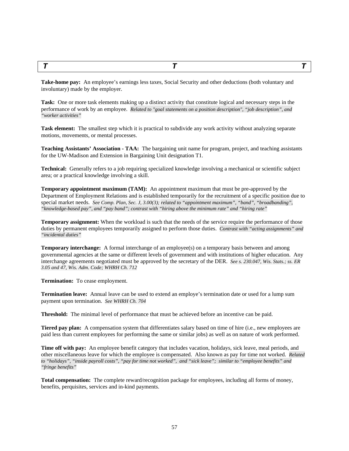<span id="page-56-0"></span>*T T T*

**Take-home pay:** An employee's earnings less taxes, Social Security and other deductions (both voluntary and involuntary) made by the employer.

**Task:** One or more task elements making up a distinct activity that constitute logical and necessary steps in the performance of work by an employee. *Related to "goal statements on a position description", "job description", and "worker activities"*

**Task element:** The smallest step which it is practical to subdivide any work activity without analyzing separate motions, movements, or mental processes.

**Teaching Assistants' Association - TAA:** The bargaining unit name for program, project, and teaching assistants for the UW-Madison and Extension in Bargaining Unit designation T1.

**Technical:** Generally refers to a job requiring specialized knowledge involving a mechanical or scientific subject area; or a practical knowledge involving a skill.

**Temporary appointment maximum (TAM):** An appointment maximum that must be pre-approved by the Department of Employment Relations and is established temporarily for the recruitment of a specific position due to special market needs. *See Comp. Plan, Sec. J, 3.00(3); related to "appointment maximum", "band", "broadbanding", "knowledge-based pay", and "pay band"; contrast with "hiring above the minimum rate" and "hiring rate"*

**Temporary assignment:** When the workload is such that the needs of the service require the performance of those duties by permanent employees temporarily assigned to perform those duties. *Contrast with "acting assignments" and "incidental duties"*

**Temporary interchange:** A formal interchange of an employee(s) on a temporary basis between and among governmental agencies at the same or different levels of government and with institutions of higher education. Any interchange agreements negotiated must be approved by the secretary of the DER. *See s. 230.047, Wis. Stats.; ss. ER 3.05 and 47, Wis. Adm. Code; WHRH Ch. 712*

**Termination:** To cease employment.

**Termination leave:** Annual leave can be used to extend an employe's termination date or used for a lump sum payment upon termination. *See WHRH Ch. 704*

**Threshold:** The minimal level of performance that must be achieved before an incentive can be paid.

**Tiered pay plan:** A compensation system that differentiates salary based on time of hire (i.e., new employees are paid less than current employees for performing the same or similar jobs) as well as on nature of work performed.

**Time off with pay:** An employee benefit category that includes vacation, holidays, sick leave, meal periods, and other miscellaneous leave for which the employee is compensated. Also known as pay for time not worked. *Related to "holidays", "inside payroll costs", "pay for time not worked", and "sick leave"; similar to "employee benefits" and "fringe benefits"*

**Total compensation:** The complete reward/recognition package for employees, including all forms of money, benefits, perquisites, services and in-kind payments.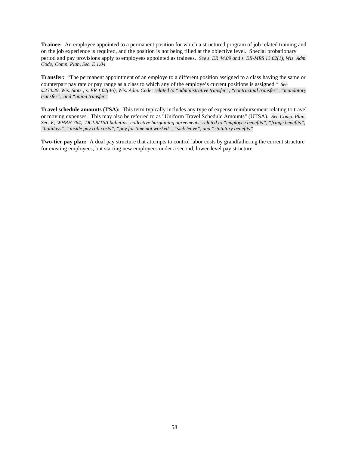**Trainee:** An employee appointed to a permanent position for which a structured program of job related training and on the job experience is required, and the position is not being filled at the objective level. Special probationary period and pay provisions apply to employees appointed as trainees. *See s. ER 44.09 and s. ER-MRS 13.02(1), Wis. Adm. Code; Comp. Plan, Sec. E 1.04*

**Transfer:** "The permanent appointment of an employe to a different position assigned to a class having the same or counterpart pay rate or pay range as a class to which any of the employe's current positions is assigned." *See s.230.29, Wis. Stats.; s. ER 1.02(46), Wis. Adm. Code; related to "administrative transfer", "contractual transfer", "mandatory transfer", and "union transfer"*

**Travel schedule amounts (TSA):** This term typically includes any type of expense reimbursement relating to travel or moving expenses. This may also be referred to as "Uniform Travel Schedule Amounts" (UTSA)*. See Comp. Plan, Sec. F; WHRH 764; DCLR/TSA bulletins; collective bargaining agreements; related to "employee benefits", "fringe benefits", "holidays", "inside pay roll costs", "pay for time not worked", "sick leave", and "statutory benefits"*

**Two-tier pay plan:** A dual pay structure that attempts to control labor costs by grandfathering the current structure for existing employees, but starting new employees under a second, lower-level pay structure.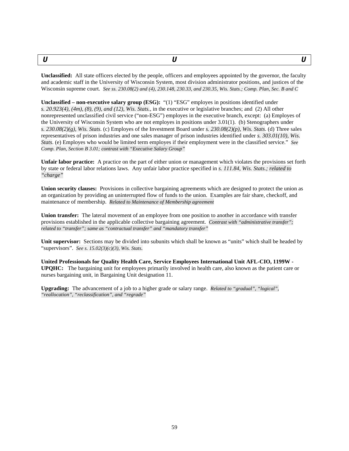<span id="page-58-0"></span>

**Unclassified:** All state officers elected by the people, officers and employees appointed by the governor, the faculty and academic staff in the University of Wisconsin System, most division administrator positions, and justices of the Wisconsin supreme court. *See ss. 230.08(2) and (4), 230.148, 230.33, and 230.35, Wis. Stats.; Comp. Plan, Sec. B and C*

**Unclassified – non-executive salary group (ESG):** "(1) "ESG" employes in positions identified under *s. 20.923(4), (4m), (8), (9), and (12), Wis. Stats.*, in the executive or legislative branches; and (2) All other nonrepresented unclassified civil service ("non-ESG") employes in the executive branch, except: (a) Employes of the University of Wisconsin System who are not employes in positions under 3.01(1). (b) Stenographers under *s. 230.08(2)(g), Wis. Stats*. (c) Employes of the Investment Board under *s. 230.08(2)(p), Wis. Stats*. (d) Three sales representatives of prison industries and one sales manager of prison industries identified under *s. 303.01(10), Wis. Stats*. (e) Employes who would be limited term employes if their employment were in the classified service." *See Comp. Plan, Section B 3.01; contrast with "Executive Salary Group"*

**Unfair labor practice:** A practice on the part of either union or management which violates the provisions set forth by state or federal labor relations laws. Any unfair labor practice specified in *s. 111.84, Wis. Stats.; related to "charge"*

**Union security clauses:** Provisions in collective bargaining agreements which are designed to protect the union as an organization by providing an uninterrupted flow of funds to the union. Examples are fair share, checkoff, and maintenance of membership. *Related to Maintenance of Membership agreement*

**Union transfer:** The lateral movement of an employee from one position to another in accordance with transfer provisions established in the applicable collective bargaining agreement. *Contrast with "administrative transfer"; related to "transfer"; same as "contractual transfer" and "mandatory transfer"*

**Unit supervisor:** Sections may be divided into subunits which shall be known as "units" which shall be headed by "supervisors". *See s. 15.02(3)(c)(3), Wis. Stats.*

**United Professionals for Quality Health Care, Service Employees International Unit AFL-CIO, 1199W - UPQHC:** The bargaining unit for employees primarily involved in health care, also known as the patient care or nurses bargaining unit, in Bargaining Unit designation 11.

**Upgrading:** The advancement of a job to a higher grade or salary range. *Related to "gradual", "logical", "reallocation", "reclassification", and "regrade"*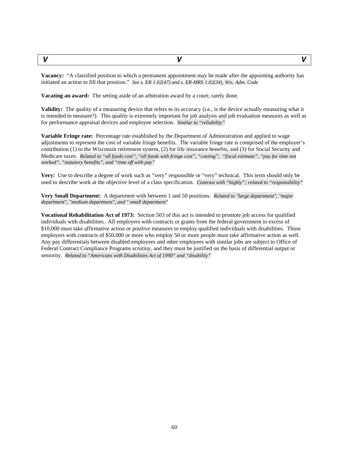<span id="page-59-0"></span>

**Vacancy:** "A classified position to which a permanent appointment may be made after the appointing authority has initiated an action to fill that position." *See s. ER 1.02(47) and s. ER-MRS 1.02(34), Wis. Adm. Code*

**Vacating an award:** The setting aside of an arbitration award by a court; rarely done.

**Validity:** The quality of a measuring device that refers to its accuracy (i.e., is the device actually measuring what it is intended to measure?). This quality is extremely important for job analysis and job evaluation measures as well as for performance appraisal devices and employee selection. *Similar to "reliability"*

**Variable Fringe rate:** Percentage rate established by the Department of Administration and applied to wage adjustments to represent the cost of variable fringe benefits. The variable fringe rate is comprised of the employer's contribution (1) to the Wisconsin retirement system, (2) for life insurance benefits, and (3) for Social Security and Medicare taxes. *Related to "all funds cost", "all funds with fringe cost", "costing", "fiscal estimate", "pay for time not worked", "statutory benefits", and "time off with pay"*

**Very:** Use to describe a degree of work such as "very" responsible or "very" technical. This term should only be used to describe work at the objective level of a class specification. *Contrast with "highly"; related to "responsibility"*

**Very Small Department:** A department with between 1 and 50 positions. *Related to "large department", "major department", "medium department", and " small department"*

**Vocational Rehabilitation Act of 1973:** Section 503 of this act is intended to promote job access for qualified individuals with disabilities. All employers with contracts or grants from the federal government in excess of \$10,000 must take affirmative action or positive measures to employ qualified individuals with disabilities. Those employers with contracts of \$50,000 or more who employ 50 or more people must take affirmative action as well. Any pay differentials between disabled employees and other employees with similar jobs are subject to Office of Federal Contract Compliance Programs scrutiny, and they must be justified on the basis of differential output or seniority. *Related to "Americans with Disabilities Act of 1990" and "disability"*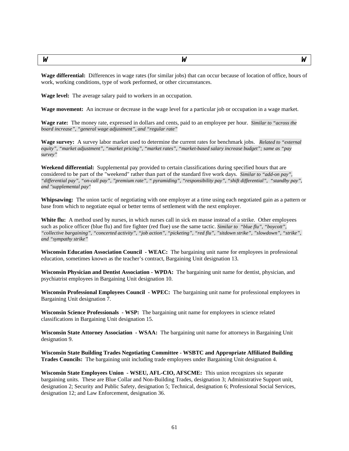<span id="page-60-0"></span>

| <b>TAT</b> | --<br>и | $ -$ |
|------------|---------|------|
|------------|---------|------|

**Wage differential:** Differences in wage rates (for similar jobs) that can occur because of location of office, hours of work, working conditions, type of work performed, or other circumstances.

**Wage level:** The average salary paid to workers in an occupation.

**Wage movement:** An increase or decrease in the wage level for a particular job or occupation in a wage market.

**Wage rate:** The money rate, expressed in dollars and cents, paid to an employee per hour. *Similar to "across the board increase", "general wage adjustment", and "regular rate"*

**Wage survey:** A survey labor market used to determine the current rates for benchmark jobs. *Related to "external equity", "market adjustment", "market pricing", "market rates", "market-based salary increase budget"; same as "pay survey"*

**Weekend differential:** Supplemental pay provided to certain classifications during specified hours that are considered to be part of the "weekend" rather than part of the standard five work days. *Similar to "add-on pay", "differential pay", "on-call pay", "premium rate", " pyramiding", "responsibility pay", "shift differential", "standby pay", and "supplemental pay"*

**Whipsawing:** The union tactic of negotiating with one employer at a time using each negotiated gain as a pattern or base from which to negotiate equal or better terms of settlement with the next employer.

White flu: A method used by nurses, in which nurses call in sick en masse instead of a strike. Other employees such as police officer (blue flu) and fire fighter (red flue) use the same tactic. *Similar to "blue flu", "boycott", "collective bargaining", "concerted activity", "job action", "picketing", "red flu", "sitdown strike", "slowdown", "strike", and "sympathy strike"*

**Wisconsin Education Association Council - WEAC:** The bargaining unit name for employees in professional education, sometimes known as the teacher's contract, Bargaining Unit designation 13.

**Wisconsin Physician and Dentist Association - WPDA:** The bargaining unit name for dentist, physician, and psychiatrist employees in Bargaining Unit designation 10.

**Wisconsin Professional Employees Council - WPEC:** The bargaining unit name for professional employees in Bargaining Unit designation 7.

**Wisconsin Science Professionals - WSP:** The bargaining unit name for employees in science related classifications in Bargaining Unit designation 15.

**Wisconsin State Attorney Association - WSAA:** The bargaining unit name for attorneys in Bargaining Unit designation 9.

**Wisconsin State Building Trades Negotiating Committee - WSBTC and Appropriate Affiliated Building Trades Councils:** The bargaining unit including trade employees under Bargaining Unit designation 4.

**Wisconsin State Employees Union - WSEU, AFL-CIO, AFSCME:** This union recognizes six separate bargaining units. These are Blue Collar and Non-Building Trades, designation 3; Administrative Support unit, designation 2; Security and Public Safety, designation 5; Technical, designation 6; Professional Social Services, designation 12; and Law Enforcement, designation 36.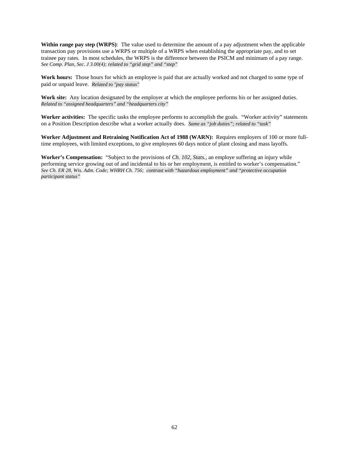**Within range pay step (WRPS)**: The value used to determine the amount of a pay adjustment when the applicable transaction pay provisions use a WRPS or multiple of a WRPS when establishing the appropriate pay, and to set trainee pay rates. In most schedules, the WRPS is the difference between the PSICM and minimum of a pay range. *See Comp. Plan, Sec. J 3.00(4); related to "grid step" and "step"*

**Work hours:** Those hours for which an employee is paid that are actually worked and not charged to some type of paid or unpaid leave. *Related to "pay status"*

Work site: Any location designated by the employer at which the employee performs his or her assigned duties. *Related to "assigned headquarters" and "headquarters city"*

**Worker activities:** The specific tasks the employee performs to accomplish the goals. "Worker activity" statements on a Position Description describe what a worker actually does. *Same as "job duties"; related to "task"*

**Worker Adjustment and Retraining Notification Act of 1988 (WARN):** Requires employers of 100 or more fulltime employees, with limited exceptions, to give employees 60 days notice of plant closing and mass layoffs.

**Worker's Compensation:** "Subject to the provisions of *Ch. 102, Stats.,* an employe suffering an injury while performing service growing out of and incidental to his or her employment, is entitled to worker's compensation." *See Ch. ER 28, Wis. Adm. Code; WHRH Ch. 756; contrast with "hazardous employment" and "protective occupation participant status"*